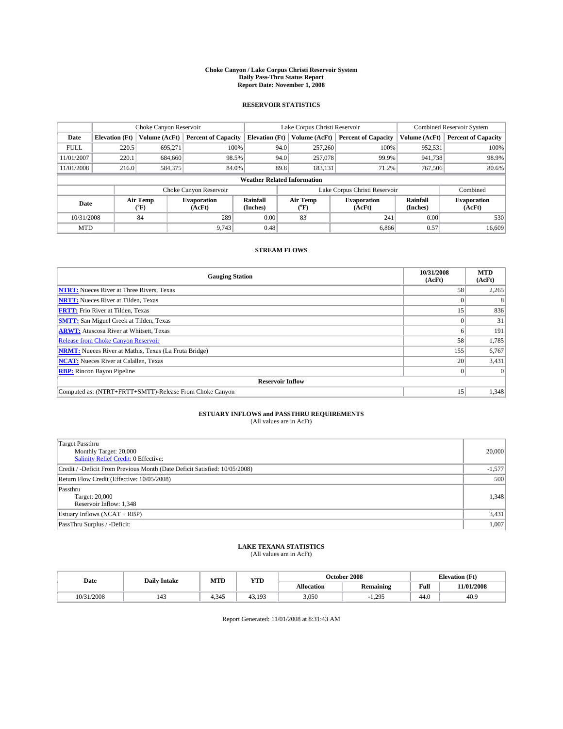#### **Choke Canyon / Lake Corpus Christi Reservoir System Daily Pass-Thru Status Report Report Date: November 1, 2008**

#### **RESERVOIR STATISTICS**

|             | Choke Canyon Reservoir |                  |                              |                                    |      | Lake Corpus Christi Reservoir |                               | <b>Combined Reservoir System</b> |                              |  |
|-------------|------------------------|------------------|------------------------------|------------------------------------|------|-------------------------------|-------------------------------|----------------------------------|------------------------------|--|
| Date        | <b>Elevation</b> (Ft)  | Volume (AcFt)    | <b>Percent of Capacity</b>   | <b>Elevation</b> (Ft)              |      | Volume (AcFt)                 | <b>Percent of Capacity</b>    | Volume (AcFt)                    | <b>Percent of Capacity</b>   |  |
| <b>FULL</b> | 220.5                  | 695,271          |                              | 100%                               | 94.0 | 257,260                       | 100%                          | 952,531                          | 100%                         |  |
| 11/01/2007  | 220.1                  | 684,660          | 98.5%                        |                                    | 94.0 | 257,078                       | 99.9%                         | 941.738                          | 98.9%                        |  |
| 11/01/2008  | 216.0                  | 584,375          | 84.0%                        |                                    | 89.8 | 183,131                       | 71.2%                         | 767,506                          | 80.6%                        |  |
|             |                        |                  |                              | <b>Weather Related Information</b> |      |                               |                               |                                  |                              |  |
|             | Choke Canyon Reservoir |                  |                              |                                    |      |                               | Lake Corpus Christi Reservoir |                                  |                              |  |
| Date        |                        | Air Temp<br>(°F) | <b>Evaporation</b><br>(AcFt) | Rainfall<br>(Inches)               |      | Air Temp<br>("F)              | <b>Evaporation</b><br>(AcFt)  | Rainfall<br>(Inches)             | <b>Evaporation</b><br>(AcFt) |  |
| 10/31/2008  |                        | 84               | 289                          | 0.00                               |      | 83                            | 241                           | 0.00                             | 530                          |  |
| <b>MTD</b>  |                        |                  | 9.743                        | 0.48                               |      |                               | 6,866                         | 0.57                             | 16,609                       |  |

### **STREAM FLOWS**

| <b>Gauging Station</b>                                       | 10/31/2008<br>(AcFt) | <b>MTD</b><br>(AcFt) |
|--------------------------------------------------------------|----------------------|----------------------|
| <b>NTRT:</b> Nueces River at Three Rivers, Texas             | 58                   | 2,265                |
| <b>NRTT:</b> Nueces River at Tilden, Texas                   |                      |                      |
| <b>FRTT:</b> Frio River at Tilden, Texas                     | 15                   | 836                  |
| <b>SMTT:</b> San Miguel Creek at Tilden, Texas               |                      | 31                   |
| <b>ARWT:</b> Atascosa River at Whitsett, Texas               | n.                   | 191                  |
| <b>Release from Choke Canyon Reservoir</b>                   | 58                   | 1,785                |
| <b>NRMT:</b> Nueces River at Mathis, Texas (La Fruta Bridge) | 155                  | 6,767                |
| <b>NCAT:</b> Nueces River at Calallen, Texas                 | 20                   | 3,431                |
| <b>RBP:</b> Rincon Bayou Pipeline                            | $\theta$             |                      |
| <b>Reservoir Inflow</b>                                      |                      |                      |
| Computed as: (NTRT+FRTT+SMTT)-Release From Choke Canyon      | 15                   | 1,348                |

## **ESTUARY INFLOWS and PASSTHRU REQUIREMENTS**<br>(All values are in AcFt)

| <b>Target Passthru</b><br>Monthly Target: 20,000<br>Salinity Relief Credit: 0 Effective: | 20,000   |
|------------------------------------------------------------------------------------------|----------|
| Credit / -Deficit From Previous Month (Date Deficit Satisfied: 10/05/2008)               | $-1,577$ |
| Return Flow Credit (Effective: 10/05/2008)                                               | 500      |
| Passthru<br>Target: 20,000<br>Reservoir Inflow: 1,348                                    | 1,348    |
| Estuary Inflows (NCAT + RBP)                                                             | 3,431    |
| PassThru Surplus / -Deficit:                                                             | 1,007    |

## **LAKE TEXANA STATISTICS** (All values are in AcFt)

| Date       | <b>Daily Intake</b>   | MTD   | YTD    |            | October 2008          | <b>Elevation</b> (Ft) |            |
|------------|-----------------------|-------|--------|------------|-----------------------|-----------------------|------------|
|            |                       |       |        | Allocation | <b>Remaining</b>      | Full                  | 11/01/2008 |
| 10/31/2008 | $\overline{1}$<br>140 | 1.345 | 43.193 | 3,050      | 295<br>. . <i>. .</i> | 44.0                  | 40.9       |

Report Generated: 11/01/2008 at 8:31:43 AM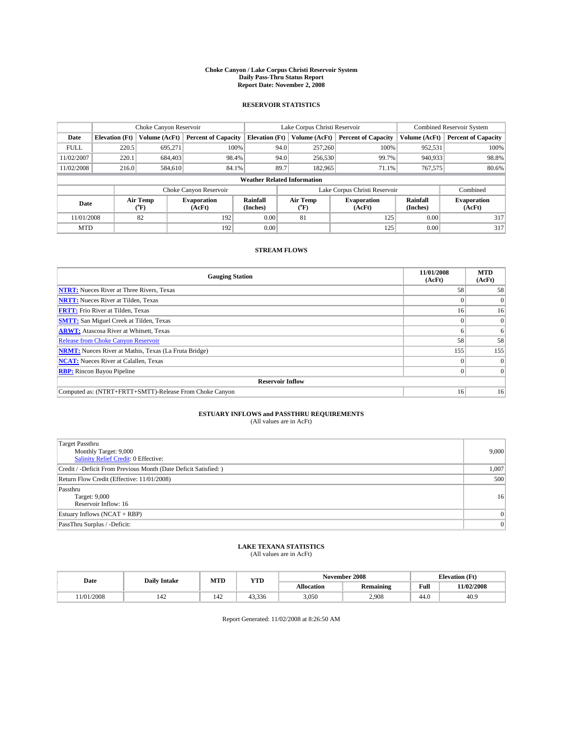#### **Choke Canyon / Lake Corpus Christi Reservoir System Daily Pass-Thru Status Report Report Date: November 2, 2008**

#### **RESERVOIR STATISTICS**

|             | Choke Canyon Reservoir |                  |                              |                                    | Lake Corpus Christi Reservoir | <b>Combined Reservoir System</b> |                             |                              |
|-------------|------------------------|------------------|------------------------------|------------------------------------|-------------------------------|----------------------------------|-----------------------------|------------------------------|
| Date        | <b>Elevation</b> (Ft)  | Volume (AcFt)    | <b>Percent of Capacity</b>   | <b>Elevation</b> (Ft)              | Volume (AcFt)                 | <b>Percent of Capacity</b>       | Volume (AcFt)               | <b>Percent of Capacity</b>   |
| <b>FULL</b> | 220.5                  | 695,271          | 100%                         | 94.0                               | 257,260                       | 100%                             | 952,531                     | 100%                         |
| 11/02/2007  | 220.1                  | 684,403          | 98.4%                        | 94.0                               | 256,530                       | 99.7%                            | 940.933                     | 98.8%                        |
| 11/02/2008  | 216.0                  | 584,610          | 84.1%                        | 89.7                               | 182,965                       | 71.1%                            | 767.575                     | 80.6%                        |
|             |                        |                  |                              | <b>Weather Related Information</b> |                               |                                  |                             |                              |
|             |                        |                  | Choke Canyon Reservoir       |                                    | Lake Corpus Christi Reservoir |                                  | Combined                    |                              |
| Date        |                        | Air Temp<br>(°F) | <b>Evaporation</b><br>(AcFt) | Rainfall<br>(Inches)               | Air Temp<br>("F)              | <b>Evaporation</b><br>(AcFt)     | <b>Rainfall</b><br>(Inches) | <b>Evaporation</b><br>(AcFt) |
| 11/01/2008  |                        | 82               | 192                          | 0.00                               | 81                            | 125                              | 0.00                        | 317                          |
| <b>MTD</b>  |                        |                  | 192                          | 0.00                               |                               | 125                              | 0.00                        | 317                          |

### **STREAM FLOWS**

| <b>Gauging Station</b>                                       | 11/01/2008<br>(AcFt) | <b>MTD</b><br>(AcFt) |
|--------------------------------------------------------------|----------------------|----------------------|
| <b>NTRT:</b> Nueces River at Three Rivers, Texas             | 58                   | 58                   |
| <b>NRTT:</b> Nueces River at Tilden, Texas                   |                      |                      |
| <b>FRTT:</b> Frio River at Tilden, Texas                     | 16 <sup>1</sup>      | 16                   |
| <b>SMTT:</b> San Miguel Creek at Tilden, Texas               |                      |                      |
| <b>ARWT:</b> Atascosa River at Whitsett, Texas               | n                    | 6 <sup>1</sup>       |
| <b>Release from Choke Canyon Reservoir</b>                   | 58                   | 58                   |
| <b>NRMT:</b> Nueces River at Mathis, Texas (La Fruta Bridge) | 155                  | 155                  |
| <b>NCAT:</b> Nueces River at Calallen, Texas                 |                      |                      |
| <b>RBP:</b> Rincon Bayou Pipeline                            | $\overline{0}$       |                      |
| <b>Reservoir Inflow</b>                                      |                      |                      |
| Computed as: (NTRT+FRTT+SMTT)-Release From Choke Canyon      | 16                   | 16 <sup>1</sup>      |

## **ESTUARY INFLOWS and PASSTHRU REQUIREMENTS**<br>(All values are in AcFt)

| <b>Target Passthru</b><br>Monthly Target: 9,000<br><b>Salinity Relief Credit: 0 Effective:</b> | 9,000 |
|------------------------------------------------------------------------------------------------|-------|
| Credit / -Deficit From Previous Month (Date Deficit Satisfied: )                               | 1,007 |
| Return Flow Credit (Effective: 11/01/2008)                                                     | 500   |
| Passthru<br>Target: 9,000<br>Reservoir Inflow: 16                                              | 16    |
| Estuary Inflows (NCAT + RBP)                                                                   | 0     |
| PassThru Surplus / -Deficit:                                                                   | 0     |

## **LAKE TEXANA STATISTICS** (All values are in AcFt)

| Date      | <b>Daily Intake</b>             | MTD | YTD    |            | November 2008    | <b>Elevation</b> (Ft) |            |
|-----------|---------------------------------|-----|--------|------------|------------------|-----------------------|------------|
|           |                                 |     |        | Allocation | <b>Remaining</b> | Full                  | 11/02/2008 |
| 1/01/2008 | $\overline{\phantom{a}}$<br>142 | 142 | 43.336 | 3,050      | 2.908            | 44.0                  | 40.9       |

Report Generated: 11/02/2008 at 8:26:50 AM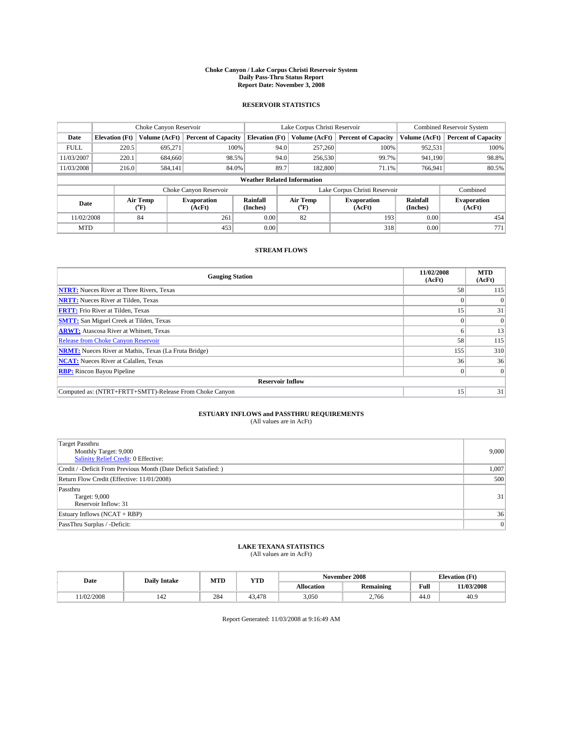#### **Choke Canyon / Lake Corpus Christi Reservoir System Daily Pass-Thru Status Report Report Date: November 3, 2008**

#### **RESERVOIR STATISTICS**

|             | Choke Canyon Reservoir |                  |                              |                                    | Lake Corpus Christi Reservoir | <b>Combined Reservoir System</b> |                      |                              |
|-------------|------------------------|------------------|------------------------------|------------------------------------|-------------------------------|----------------------------------|----------------------|------------------------------|
| Date        | <b>Elevation</b> (Ft)  | Volume (AcFt)    | <b>Percent of Capacity</b>   | <b>Elevation (Ft)</b>              | Volume (AcFt)                 | <b>Percent of Capacity</b>       | Volume (AcFt)        | <b>Percent of Capacity</b>   |
| <b>FULL</b> | 220.5                  | 695,271          | 100%                         | 94.0                               | 257,260                       | 100%                             | 952,531              | 100%                         |
| 11/03/2007  | 220.1                  | 684,660          | 98.5%                        | 94.0                               | 256,530                       | 99.7%                            | 941,190              | 98.8%                        |
| 11/03/2008  | 216.0                  | 584,141          | 84.0%                        | 89.7                               | 182,800                       | 71.1%                            | 766,941              | 80.5%                        |
|             |                        |                  |                              | <b>Weather Related Information</b> |                               |                                  |                      |                              |
|             |                        |                  | Choke Canyon Reservoir       |                                    | Lake Corpus Christi Reservoir |                                  | Combined             |                              |
| Date        |                        | Air Temp<br>(°F) | <b>Evaporation</b><br>(AcFt) | Rainfall<br>(Inches)               | Air Temp<br>("F)              | <b>Evaporation</b><br>(AcFt)     | Rainfall<br>(Inches) | <b>Evaporation</b><br>(AcFt) |
| 11/02/2008  |                        | 84               | 261                          | 0.00                               | 82                            | 193                              | 0.00                 | 454                          |
| <b>MTD</b>  |                        |                  | 453                          | 0.00                               |                               | 318                              | 0.00                 | 771                          |

### **STREAM FLOWS**

| <b>Gauging Station</b>                                       | 11/02/2008<br>(AcFt) | <b>MTD</b><br>(AcFt) |
|--------------------------------------------------------------|----------------------|----------------------|
| <b>NTRT:</b> Nueces River at Three Rivers, Texas             | 58                   | 115                  |
| <b>NRTT:</b> Nueces River at Tilden, Texas                   |                      |                      |
| <b>FRTT:</b> Frio River at Tilden, Texas                     | 15                   | 31                   |
| <b>SMTT:</b> San Miguel Creek at Tilden, Texas               |                      |                      |
| <b>ARWT:</b> Atascosa River at Whitsett, Texas               | n.                   | 13                   |
| <b>Release from Choke Canyon Reservoir</b>                   | 58                   | 115                  |
| <b>NRMT:</b> Nueces River at Mathis, Texas (La Fruta Bridge) | 155                  | 310                  |
| <b>NCAT:</b> Nueces River at Calallen, Texas                 | 36                   | 36                   |
| <b>RBP:</b> Rincon Bayou Pipeline                            | $\overline{0}$       | $\Omega$             |
| <b>Reservoir Inflow</b>                                      |                      |                      |
| Computed as: (NTRT+FRTT+SMTT)-Release From Choke Canyon      | 15                   | 31                   |

## **ESTUARY INFLOWS and PASSTHRU REQUIREMENTS**<br>(All values are in AcFt)

| <b>Target Passthru</b><br>Monthly Target: 9,000<br><b>Salinity Relief Credit: 0 Effective:</b> | 9,000 |
|------------------------------------------------------------------------------------------------|-------|
| Credit / -Deficit From Previous Month (Date Deficit Satisfied: )                               | 1,007 |
| Return Flow Credit (Effective: 11/01/2008)                                                     | 500   |
| Passthru<br>Target: 9,000<br>Reservoir Inflow: 31                                              | 31    |
| Estuary Inflows (NCAT + RBP)                                                                   | 36    |
| PassThru Surplus / -Deficit:                                                                   | 0     |

## **LAKE TEXANA STATISTICS** (All values are in AcFt)

|  | Date      | <b>Daily Intake</b>   | MTD | <b>YTD</b>                    | November 2008 |                  |      | <b>Elevation</b> (Ft) |
|--|-----------|-----------------------|-----|-------------------------------|---------------|------------------|------|-----------------------|
|  |           |                       |     |                               | Allocation    | <b>Remaining</b> | Full | 11/03/2008            |
|  | 1/02/2008 | $\overline{ }$<br>144 | 284 | $A \sqcap C$<br>4.5<br>+3.470 | 3,050         | 2.766            | 44.0 | 40.9                  |

Report Generated: 11/03/2008 at 9:16:49 AM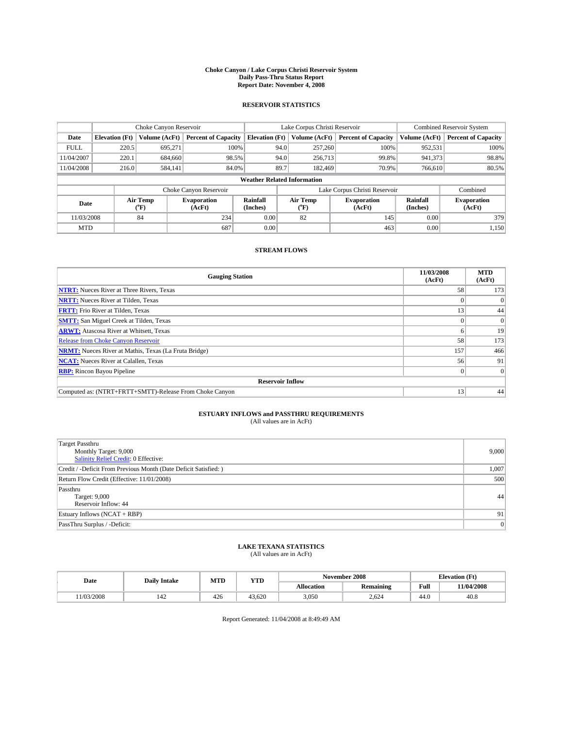#### **Choke Canyon / Lake Corpus Christi Reservoir System Daily Pass-Thru Status Report Report Date: November 4, 2008**

#### **RESERVOIR STATISTICS**

|             | Choke Canyon Reservoir             |                  |                              |                       | Lake Corpus Christi Reservoir |                  |                               |                      | <b>Combined Reservoir System</b> |  |  |
|-------------|------------------------------------|------------------|------------------------------|-----------------------|-------------------------------|------------------|-------------------------------|----------------------|----------------------------------|--|--|
| Date        | <b>Elevation</b> (Ft)              | Volume (AcFt)    | <b>Percent of Capacity</b>   | <b>Elevation</b> (Ft) |                               | Volume (AcFt)    | <b>Percent of Capacity</b>    | Volume (AcFt)        | <b>Percent of Capacity</b>       |  |  |
| <b>FULL</b> | 220.5                              | 695,271          | 100%                         |                       | 94.0                          | 257,260          | 100%                          | 952,531              | 100%                             |  |  |
| 11/04/2007  | 220.1                              | 684,660          | 98.5%                        |                       | 94.0                          | 256,713          | 99.8%                         | 941,373              | 98.8%                            |  |  |
| 11/04/2008  | 216.0                              | 584,141          | 84.0%                        |                       | 89.7                          | 182.469          | 70.9%                         | 766,610              | 80.5%                            |  |  |
|             | <b>Weather Related Information</b> |                  |                              |                       |                               |                  |                               |                      |                                  |  |  |
|             |                                    |                  | Choke Canyon Reservoir       |                       |                               |                  | Lake Corpus Christi Reservoir |                      | Combined                         |  |  |
| Date        |                                    | Air Temp<br>(°F) | <b>Evaporation</b><br>(AcFt) | Rainfall<br>(Inches)  |                               | Air Temp<br>("F) | <b>Evaporation</b><br>(AcFt)  | Rainfall<br>(Inches) | <b>Evaporation</b><br>(AcFt)     |  |  |
| 11/03/2008  |                                    | 84               | 234                          | 0.00                  |                               | 82               | 145                           | 0.00                 | 379                              |  |  |
| <b>MTD</b>  |                                    |                  | 687                          | 0.00                  |                               |                  | 463                           | 0.00                 | 1,150                            |  |  |

### **STREAM FLOWS**

| <b>Gauging Station</b>                                       | 11/03/2008<br>(AcFt) | <b>MTD</b><br>(AcFt) |
|--------------------------------------------------------------|----------------------|----------------------|
| <b>NTRT:</b> Nueces River at Three Rivers, Texas             | 58                   | 173                  |
| <b>NRTT:</b> Nueces River at Tilden, Texas                   |                      |                      |
| <b>FRTT:</b> Frio River at Tilden, Texas                     | 13                   | 44                   |
| <b>SMTT:</b> San Miguel Creek at Tilden, Texas               |                      |                      |
| <b>ARWT:</b> Atascosa River at Whitsett, Texas               | n.                   | 19                   |
| <b>Release from Choke Canyon Reservoir</b>                   | 58                   | 173                  |
| <b>NRMT:</b> Nueces River at Mathis, Texas (La Fruta Bridge) | 157                  | 466                  |
| <b>NCAT:</b> Nueces River at Calallen, Texas                 | 56                   | 91                   |
| <b>RBP:</b> Rincon Bayou Pipeline                            | $\overline{0}$       |                      |
| <b>Reservoir Inflow</b>                                      |                      |                      |
| Computed as: (NTRT+FRTT+SMTT)-Release From Choke Canyon      | 13                   | 44                   |

## **ESTUARY INFLOWS and PASSTHRU REQUIREMENTS**<br>(All values are in AcFt)

| <b>Target Passthru</b><br>Monthly Target: 9,000<br><b>Salinity Relief Credit: 0 Effective:</b> | 9,000 |
|------------------------------------------------------------------------------------------------|-------|
| Credit / -Deficit From Previous Month (Date Deficit Satisfied: )                               | 1,007 |
| Return Flow Credit (Effective: 11/01/2008)                                                     | 500   |
| Passthru<br>Target: 9,000<br>Reservoir Inflow: 44                                              | 44    |
| Estuary Inflows (NCAT + RBP)                                                                   | 91    |
| PassThru Surplus / -Deficit:                                                                   | 0     |

## **LAKE TEXANA STATISTICS** (All values are in AcFt)

| Date      | <b>Daily Intake</b>   | MTD | YTD    |            | November 2008    | <b>Elevation</b> (Ft) |            |
|-----------|-----------------------|-----|--------|------------|------------------|-----------------------|------------|
|           |                       |     |        | Allocation | <b>Remaining</b> | Full                  | 11/04/2008 |
| 1/03/2008 | $\overline{ }$<br>142 | 426 | 43.620 | 3.050      | 2.624            | 44.0                  | 40.8       |

Report Generated: 11/04/2008 at 8:49:49 AM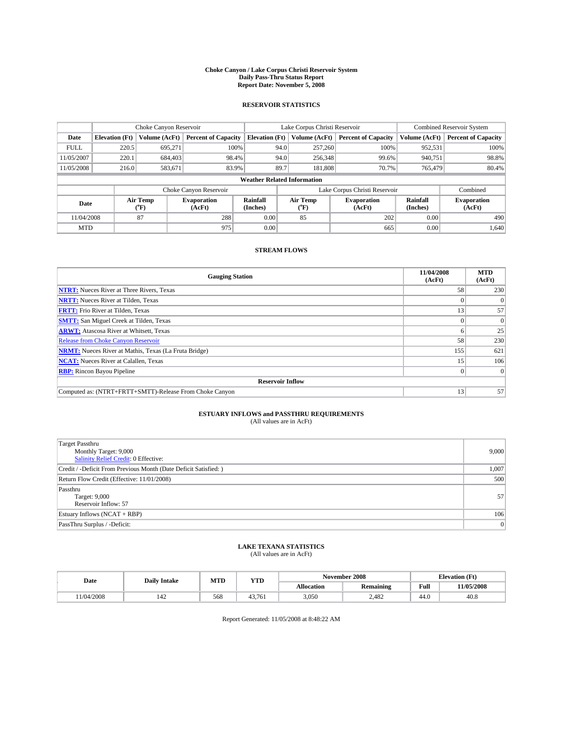#### **Choke Canyon / Lake Corpus Christi Reservoir System Daily Pass-Thru Status Report Report Date: November 5, 2008**

#### **RESERVOIR STATISTICS**

|             | Choke Canyon Reservoir             |                  |                            |                       | Lake Corpus Christi Reservoir | <b>Combined Reservoir System</b> |                      |                              |  |  |
|-------------|------------------------------------|------------------|----------------------------|-----------------------|-------------------------------|----------------------------------|----------------------|------------------------------|--|--|
| Date        | <b>Elevation</b> (Ft)              | Volume (AcFt)    | <b>Percent of Capacity</b> | <b>Elevation</b> (Ft) | Volume (AcFt)                 | <b>Percent of Capacity</b>       | Volume (AcFt)        | <b>Percent of Capacity</b>   |  |  |
| <b>FULL</b> | 220.5                              | 695,271          | 100%                       | 94.0                  | 257,260                       | 100%                             | 952,531              | 100%                         |  |  |
| 11/05/2007  | 220.1                              | 684,403          | 98.4%                      | 94.0                  | 256,348                       | 99.6%                            | 940,751              | 98.8%                        |  |  |
| 11/05/2008  | 216.0                              | 583,671          | 83.9%                      | 89.7                  | 181.808                       | 70.7%                            | 765,479              | 80.4%                        |  |  |
|             | <b>Weather Related Information</b> |                  |                            |                       |                               |                                  |                      |                              |  |  |
|             |                                    |                  | Choke Canyon Reservoir     |                       | Lake Corpus Christi Reservoir |                                  | Combined             |                              |  |  |
| Date        |                                    | Air Temp<br>(°F) | Evaporation<br>(AcFt)      | Rainfall<br>(Inches)  | Air Temp<br>("F)              | <b>Evaporation</b><br>(AcFt)     | Rainfall<br>(Inches) | <b>Evaporation</b><br>(AcFt) |  |  |
| 11/04/2008  |                                    | 87               | 288                        | 0.00                  | 85                            | 202                              | 0.00                 | 490                          |  |  |
| <b>MTD</b>  |                                    |                  | 975                        | 0.00                  |                               | 665                              | 0.00                 | 1,640                        |  |  |

### **STREAM FLOWS**

| <b>Gauging Station</b>                                       | 11/04/2008<br>(AcFt) | <b>MTD</b><br>(AcFt) |
|--------------------------------------------------------------|----------------------|----------------------|
| <b>NTRT:</b> Nueces River at Three Rivers, Texas             | 58                   | 230                  |
| <b>NRTT:</b> Nueces River at Tilden, Texas                   |                      |                      |
| <b>FRTT:</b> Frio River at Tilden, Texas                     | 13                   | 57                   |
| <b>SMTT:</b> San Miguel Creek at Tilden, Texas               |                      |                      |
| <b>ARWT:</b> Atascosa River at Whitsett, Texas               |                      | 25                   |
| <b>Release from Choke Canyon Reservoir</b>                   | 58                   | 230                  |
| <b>NRMT:</b> Nueces River at Mathis, Texas (La Fruta Bridge) | 155                  | 621                  |
| <b>NCAT:</b> Nueces River at Calallen, Texas                 | 15                   | 106                  |
| <b>RBP:</b> Rincon Bayou Pipeline                            | $\overline{0}$       | $\Omega$             |
| <b>Reservoir Inflow</b>                                      |                      |                      |
| Computed as: (NTRT+FRTT+SMTT)-Release From Choke Canyon      | 13                   | 57                   |

## **ESTUARY INFLOWS and PASSTHRU REQUIREMENTS**<br>(All values are in AcFt)

| <b>Target Passthru</b><br>Monthly Target: 9,000<br><b>Salinity Relief Credit: 0 Effective:</b> | 9,000 |
|------------------------------------------------------------------------------------------------|-------|
| Credit / -Deficit From Previous Month (Date Deficit Satisfied: )                               | 1,007 |
| Return Flow Credit (Effective: 11/01/2008)                                                     | 500   |
| Passthru<br>Target: 9,000<br>Reservoir Inflow: 57                                              | 57    |
| Estuary Inflows (NCAT + RBP)                                                                   | 106   |
| PassThru Surplus / -Deficit:                                                                   | 0     |

## **LAKE TEXANA STATISTICS** (All values are in AcFt)

| Date      | <b>Daily Intake</b> | MTD | T/TD<br>Y I.D | November 2008     |                  |      | <b>Elevation (Ft)</b> |  |
|-----------|---------------------|-----|---------------|-------------------|------------------|------|-----------------------|--|
|           |                     |     |               | <b>Allocation</b> | <b>Remaining</b> | Full | 11/05/2008            |  |
| 1/04/2008 | .44                 | 568 | 43.<br>.761   | 3,050             | 2.482            | 44.0 | 40.8                  |  |

Report Generated: 11/05/2008 at 8:48:22 AM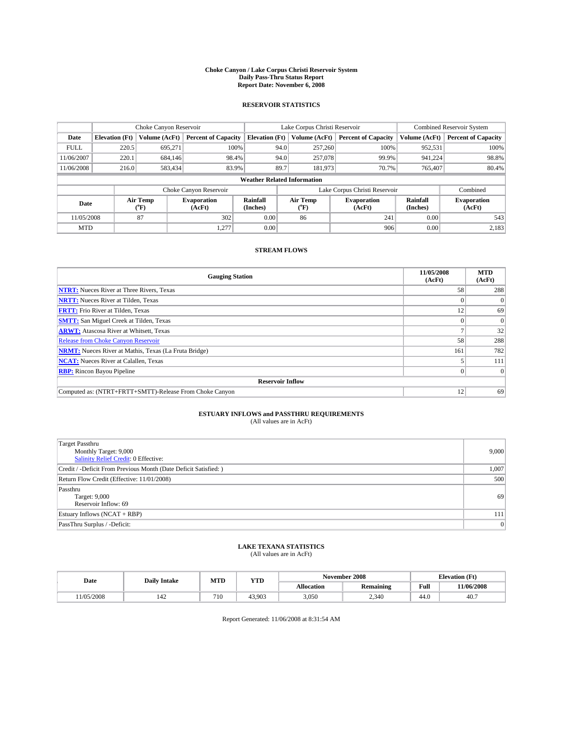#### **Choke Canyon / Lake Corpus Christi Reservoir System Daily Pass-Thru Status Report Report Date: November 6, 2008**

#### **RESERVOIR STATISTICS**

|             | Choke Canyon Reservoir             |                  |                              |                       | Lake Corpus Christi Reservoir |                  |                               |                      | <b>Combined Reservoir System</b> |  |
|-------------|------------------------------------|------------------|------------------------------|-----------------------|-------------------------------|------------------|-------------------------------|----------------------|----------------------------------|--|
| Date        | <b>Elevation</b> (Ft)              | Volume (AcFt)    | <b>Percent of Capacity</b>   | <b>Elevation</b> (Ft) |                               | Volume (AcFt)    | <b>Percent of Capacity</b>    | Volume (AcFt)        | <b>Percent of Capacity</b>       |  |
| <b>FULL</b> | 220.5                              | 695,271          | 100%                         |                       | 94.0                          | 257,260          | 100%                          | 952,531              | 100%                             |  |
| 11/06/2007  | 220.1                              | 684,146          | 98.4%                        |                       | 94.0                          | 257,078          | 99.9%                         | 941.224              | 98.8%                            |  |
| 11/06/2008  | 216.0                              | 583,434          | 83.9%                        |                       | 89.7                          | 181,973          | 70.7%                         | 765,407              | 80.4%                            |  |
|             | <b>Weather Related Information</b> |                  |                              |                       |                               |                  |                               |                      |                                  |  |
|             |                                    |                  | Choke Canyon Reservoir       |                       |                               |                  | Lake Corpus Christi Reservoir |                      | Combined                         |  |
| Date        |                                    | Air Temp<br>(°F) | <b>Evaporation</b><br>(AcFt) | Rainfall<br>(Inches)  |                               | Air Temp<br>("F) | <b>Evaporation</b><br>(AcFt)  | Rainfall<br>(Inches) | <b>Evaporation</b><br>(AcFt)     |  |
| 11/05/2008  |                                    | 87               | 302                          | 0.00                  |                               | 86               | 241                           | 0.00                 | 543                              |  |
| <b>MTD</b>  |                                    |                  | 1,277                        | 0.00                  |                               |                  | 906                           | 0.00                 | 2,183                            |  |

### **STREAM FLOWS**

| <b>Gauging Station</b>                                       | 11/05/2008<br>(AcFt) | <b>MTD</b><br>(AcFt) |
|--------------------------------------------------------------|----------------------|----------------------|
| <b>NTRT:</b> Nueces River at Three Rivers, Texas             | 58                   | 288                  |
| <b>NRTT:</b> Nueces River at Tilden, Texas                   |                      |                      |
| <b>FRTT:</b> Frio River at Tilden, Texas                     | 12                   | 69                   |
| <b>SMTT:</b> San Miguel Creek at Tilden, Texas               |                      |                      |
| <b>ARWT:</b> Atascosa River at Whitsett, Texas               |                      | 32                   |
| <b>Release from Choke Canyon Reservoir</b>                   | 58                   | 288                  |
| <b>NRMT:</b> Nueces River at Mathis, Texas (La Fruta Bridge) | 161                  | 782                  |
| <b>NCAT:</b> Nueces River at Calallen, Texas                 |                      | 111                  |
| <b>RBP:</b> Rincon Bayou Pipeline                            | $\overline{0}$       |                      |
| <b>Reservoir Inflow</b>                                      |                      |                      |
| Computed as: (NTRT+FRTT+SMTT)-Release From Choke Canyon      | 12                   | 69                   |

## **ESTUARY INFLOWS and PASSTHRU REQUIREMENTS**<br>(All values are in AcFt)

| <b>Target Passthru</b><br>Monthly Target: 9,000<br><b>Salinity Relief Credit: 0 Effective:</b> | 9,000 |
|------------------------------------------------------------------------------------------------|-------|
| Credit / -Deficit From Previous Month (Date Deficit Satisfied: )                               | 1,007 |
| Return Flow Credit (Effective: 11/01/2008)                                                     | 500   |
| Passthru<br>Target: 9,000<br>Reservoir Inflow: 69                                              | 69    |
| Estuary Inflows (NCAT + RBP)                                                                   | 111   |
| PassThru Surplus / -Deficit:                                                                   | 0     |

## **LAKE TEXANA STATISTICS** (All values are in AcFt)

| Date      | <b>Daily Intake</b> | MTD | <b>YTD</b> |            | November 2008    | <b>Elevation</b> (Ft)                       |            |
|-----------|---------------------|-----|------------|------------|------------------|---------------------------------------------|------------|
|           |                     |     |            | Allocation | <b>Remaining</b> | Full<br>the contract of the contract of the | 11/06/2008 |
| 1/05/2008 | 144                 | 710 | 43.903     | 3,050      | 2.340            | 44.0                                        | 40.7       |

Report Generated: 11/06/2008 at 8:31:54 AM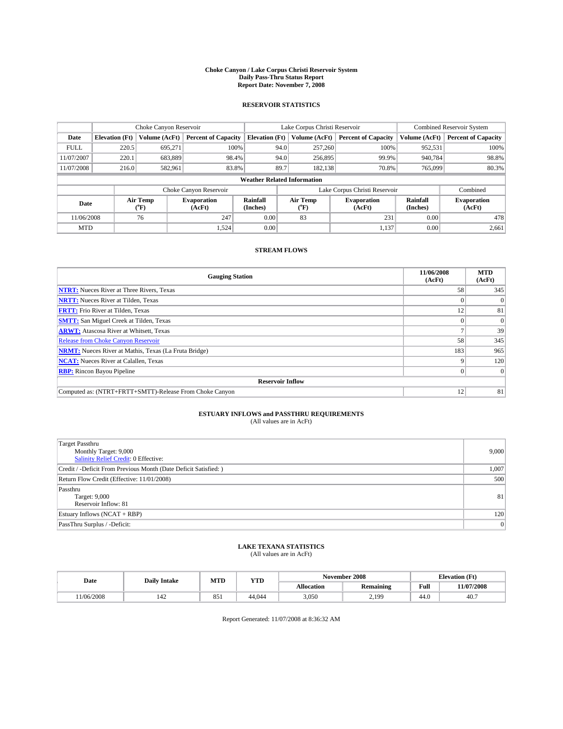#### **Choke Canyon / Lake Corpus Christi Reservoir System Daily Pass-Thru Status Report Report Date: November 7, 2008**

#### **RESERVOIR STATISTICS**

|             | Choke Canyon Reservoir             |                  |                              |                       | Lake Corpus Christi Reservoir |                  |                               |                      | <b>Combined Reservoir System</b> |  |
|-------------|------------------------------------|------------------|------------------------------|-----------------------|-------------------------------|------------------|-------------------------------|----------------------|----------------------------------|--|
| Date        | <b>Elevation</b> (Ft)              | Volume (AcFt)    | <b>Percent of Capacity</b>   | <b>Elevation</b> (Ft) |                               | Volume (AcFt)    | <b>Percent of Capacity</b>    | Volume (AcFt)        | <b>Percent of Capacity</b>       |  |
| <b>FULL</b> | 220.5                              | 695,271          | 100%                         |                       | 94.0                          | 257,260          | 100%                          | 952,531              | 100%                             |  |
| 11/07/2007  | 220.1                              | 683,889          | 98.4%                        |                       | 94.0                          | 256,895          | 99.9%                         | 940.784              | 98.8%                            |  |
| 11/07/2008  | 216.0                              | 582,961          | 83.8%                        |                       | 89.7                          | 182,138          | 70.8%                         | 765,099              | 80.3%                            |  |
|             | <b>Weather Related Information</b> |                  |                              |                       |                               |                  |                               |                      |                                  |  |
|             |                                    |                  | Choke Canyon Reservoir       |                       |                               |                  | Lake Corpus Christi Reservoir |                      | Combined                         |  |
| Date        |                                    | Air Temp<br>(°F) | <b>Evaporation</b><br>(AcFt) | Rainfall<br>(Inches)  |                               | Air Temp<br>("F) | <b>Evaporation</b><br>(AcFt)  | Rainfall<br>(Inches) | <b>Evaporation</b><br>(AcFt)     |  |
| 11/06/2008  |                                    | 76               | 247                          | 0.00                  |                               | 83               | 231                           | 0.00                 | 478                              |  |
| <b>MTD</b>  |                                    |                  | 1,524                        | 0.00                  |                               |                  | 1,137                         | 0.00                 | 2,661                            |  |

### **STREAM FLOWS**

| <b>Gauging Station</b>                                       | 11/06/2008<br>(AcFt) | <b>MTD</b><br>(AcFt) |
|--------------------------------------------------------------|----------------------|----------------------|
| <b>NTRT:</b> Nueces River at Three Rivers, Texas             | 58                   | 345                  |
| <b>NRTT:</b> Nueces River at Tilden, Texas                   |                      |                      |
| <b>FRTT:</b> Frio River at Tilden, Texas                     | 12                   | 81                   |
| <b>SMTT:</b> San Miguel Creek at Tilden, Texas               |                      |                      |
| <b>ARWT:</b> Atascosa River at Whitsett, Texas               |                      | 39                   |
| <b>Release from Choke Canyon Reservoir</b>                   | 58                   | 345                  |
| <b>NRMT:</b> Nueces River at Mathis, Texas (La Fruta Bridge) | 183                  | 965                  |
| <b>NCAT:</b> Nueces River at Calallen, Texas                 |                      | 120                  |
| <b>RBP:</b> Rincon Bayou Pipeline                            | $\overline{0}$       |                      |
| <b>Reservoir Inflow</b>                                      |                      |                      |
| Computed as: (NTRT+FRTT+SMTT)-Release From Choke Canyon      | 12                   | 81                   |

## **ESTUARY INFLOWS and PASSTHRU REQUIREMENTS**<br>(All values are in AcFt)

| <b>Target Passthru</b><br>Monthly Target: 9,000<br><b>Salinity Relief Credit: 0 Effective:</b> | 9,000 |
|------------------------------------------------------------------------------------------------|-------|
| Credit / -Deficit From Previous Month (Date Deficit Satisfied: )                               | 1,007 |
| Return Flow Credit (Effective: 11/01/2008)                                                     | 500   |
| Passthru<br>Target: 9,000<br>Reservoir Inflow: 81                                              | 81    |
| Estuary Inflows (NCAT + RBP)                                                                   | 120   |
| PassThru Surplus / -Deficit:                                                                   | 0     |

## **LAKE TEXANA STATISTICS** (All values are in AcFt)

| Date      | <b>Daily Intake</b> | MTD | YTD    |                   | November 2008    | <b>Elevation</b> (Ft) |            |
|-----------|---------------------|-----|--------|-------------------|------------------|-----------------------|------------|
|           |                     |     |        | <b>Allocation</b> | <b>Remaining</b> | Full                  | 11/07/2008 |
| 1/06/2008 | 144                 | 851 | 44,044 | 3,050             | 199<br>2.12      | 44.0                  | 40.7       |

Report Generated: 11/07/2008 at 8:36:32 AM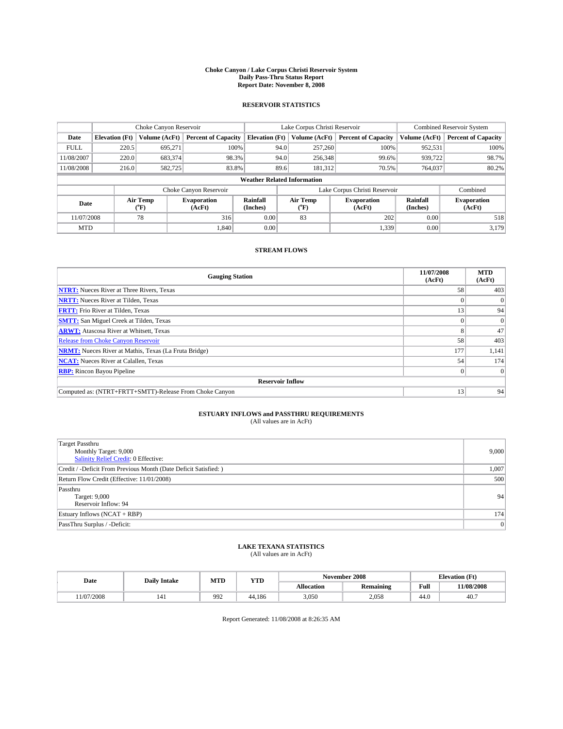#### **Choke Canyon / Lake Corpus Christi Reservoir System Daily Pass-Thru Status Report Report Date: November 8, 2008**

#### **RESERVOIR STATISTICS**

|             | Choke Canyon Reservoir             |                  |                              |                       | Lake Corpus Christi Reservoir |                  |                               |                      | <b>Combined Reservoir System</b> |  |
|-------------|------------------------------------|------------------|------------------------------|-----------------------|-------------------------------|------------------|-------------------------------|----------------------|----------------------------------|--|
| Date        | <b>Elevation</b> (Ft)              | Volume (AcFt)    | <b>Percent of Capacity</b>   | <b>Elevation</b> (Ft) |                               | Volume (AcFt)    | <b>Percent of Capacity</b>    | Volume (AcFt)        | <b>Percent of Capacity</b>       |  |
| <b>FULL</b> | 220.5                              | 695,271          |                              | 100%                  | 94.0                          | 257,260          | 100%                          | 952,531              | 100%                             |  |
| 11/08/2007  | 220.0                              | 683,374          | 98.3%                        |                       | 94.0                          | 256,348          | 99.6%                         | 939,722              | 98.7%                            |  |
| 11/08/2008  | 216.0                              | 582,725          | 83.8%                        |                       | 89.6                          | 181,312          | 70.5%                         | 764,037              | 80.2%                            |  |
|             | <b>Weather Related Information</b> |                  |                              |                       |                               |                  |                               |                      |                                  |  |
|             |                                    |                  | Choke Canyon Reservoir       |                       |                               |                  | Lake Corpus Christi Reservoir |                      | Combined                         |  |
| Date        |                                    | Air Temp<br>(°F) | <b>Evaporation</b><br>(AcFt) | Rainfall<br>(Inches)  |                               | Air Temp<br>("F) | <b>Evaporation</b><br>(AcFt)  | Rainfall<br>(Inches) | <b>Evaporation</b><br>(AcFt)     |  |
| 11/07/2008  |                                    | 78               | 316                          | 0.00                  |                               | 83               | 202                           | 0.00                 | 518                              |  |
| <b>MTD</b>  |                                    |                  | 1.840                        | 0.00                  |                               |                  | 1,339                         | 0.00                 | 3,179                            |  |

### **STREAM FLOWS**

| <b>Gauging Station</b>                                       | 11/07/2008<br>(AcFt) | <b>MTD</b><br>(AcFt) |
|--------------------------------------------------------------|----------------------|----------------------|
| <b>NTRT:</b> Nueces River at Three Rivers, Texas             | 58                   | 403                  |
| <b>NRTT:</b> Nueces River at Tilden, Texas                   |                      |                      |
| <b>FRTT:</b> Frio River at Tilden, Texas                     | 13                   | 94                   |
| <b>SMTT:</b> San Miguel Creek at Tilden, Texas               |                      |                      |
| <b>ARWT:</b> Atascosa River at Whitsett, Texas               | 8                    | 47                   |
| <b>Release from Choke Canyon Reservoir</b>                   | 58                   | 403                  |
| <b>NRMT:</b> Nueces River at Mathis, Texas (La Fruta Bridge) | 177                  | 1,141                |
| <b>NCAT:</b> Nueces River at Calallen, Texas                 | 54                   | 174                  |
| <b>RBP:</b> Rincon Bayou Pipeline                            | $\overline{0}$       |                      |
| <b>Reservoir Inflow</b>                                      |                      |                      |
| Computed as: (NTRT+FRTT+SMTT)-Release From Choke Canyon      | 13                   | 94                   |

## **ESTUARY INFLOWS and PASSTHRU REQUIREMENTS**<br>(All values are in AcFt)

| <b>Target Passthru</b><br>Monthly Target: 9,000<br><b>Salinity Relief Credit: 0 Effective:</b> | 9,000 |
|------------------------------------------------------------------------------------------------|-------|
| Credit / -Deficit From Previous Month (Date Deficit Satisfied: )                               | 1,007 |
| Return Flow Credit (Effective: 11/01/2008)                                                     | 500   |
| Passthru<br>Target: 9,000<br>Reservoir Inflow: 94                                              | 94    |
| Estuary Inflows (NCAT + RBP)                                                                   | 174   |
| PassThru Surplus / -Deficit:                                                                   | 0     |

## **LAKE TEXANA STATISTICS** (All values are in AcFt)

| Date      | <b>Daily Intake</b> | MTD | <b>YTD</b> | November 2008 |                  |      | Elevation (Ft) |
|-----------|---------------------|-----|------------|---------------|------------------|------|----------------|
|           |                     |     |            | Allocation    | <b>Remaining</b> | Full | 11/08/2008     |
| 1/07/2008 | 141                 | 992 | 44.186     | 3,050         | 2.058            | 44.0 | 40.7           |

Report Generated: 11/08/2008 at 8:26:35 AM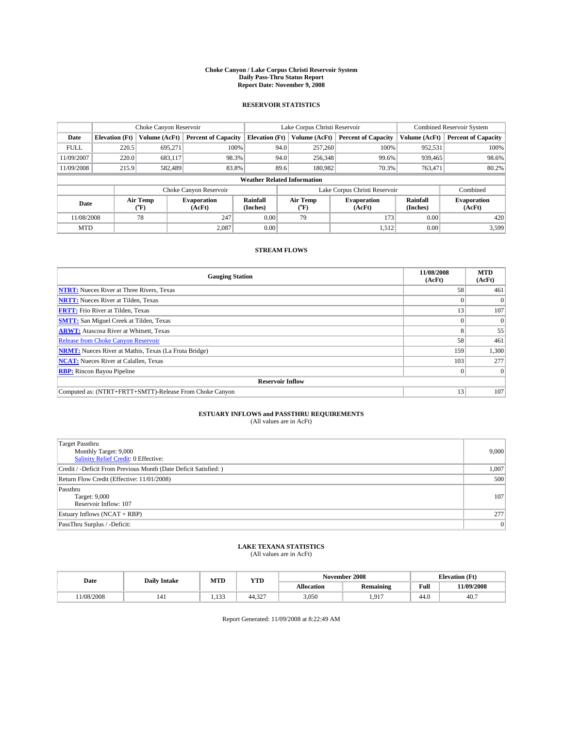#### **Choke Canyon / Lake Corpus Christi Reservoir System Daily Pass-Thru Status Report Report Date: November 9, 2008**

#### **RESERVOIR STATISTICS**

|             | Choke Canyon Reservoir             |                  |                            |                       | Lake Corpus Christi Reservoir | <b>Combined Reservoir System</b> |                      |                              |  |  |
|-------------|------------------------------------|------------------|----------------------------|-----------------------|-------------------------------|----------------------------------|----------------------|------------------------------|--|--|
| Date        | <b>Elevation</b> (Ft)              | Volume (AcFt)    | <b>Percent of Capacity</b> | <b>Elevation</b> (Ft) | Volume (AcFt)                 | <b>Percent of Capacity</b>       | Volume (AcFt)        | <b>Percent of Capacity</b>   |  |  |
| <b>FULL</b> | 220.5                              | 695,271          | 100%                       |                       | 257,260<br>94.0               | 100%                             | 952,531              | 100%                         |  |  |
| 11/09/2007  | 220.0                              | 683,117          | 98.3%                      |                       | 94.0<br>256,348               | 99.6%                            | 939,465              | 98.6%                        |  |  |
| 11/09/2008  | 215.9                              | 582.489          | 83.8%                      | 89.6                  | 180,982                       | 70.3%                            | 763,471              | 80.2%                        |  |  |
|             | <b>Weather Related Information</b> |                  |                            |                       |                               |                                  |                      |                              |  |  |
|             |                                    |                  | Choke Canyon Reservoir     |                       |                               | Lake Corpus Christi Reservoir    |                      | Combined                     |  |  |
| Date        |                                    | Air Temp<br>(°F) | Evaporation<br>(AcFt)      | Rainfall<br>(Inches)  | Air Temp<br>("F)              | <b>Evaporation</b><br>(AcFt)     | Rainfall<br>(Inches) | <b>Evaporation</b><br>(AcFt) |  |  |
| 11/08/2008  |                                    | 78               | 247                        | 0.00                  | 79                            | 173                              | 0.00                 | 420                          |  |  |
| <b>MTD</b>  |                                    |                  | 2.087                      | 0.00                  |                               | 1,512                            | 0.00                 | 3,599                        |  |  |

### **STREAM FLOWS**

| <b>Gauging Station</b>                                       | 11/08/2008<br>(AcFt) | <b>MTD</b><br>(AcFt) |
|--------------------------------------------------------------|----------------------|----------------------|
| <b>NTRT:</b> Nueces River at Three Rivers, Texas             | 58                   | 461                  |
| <b>NRTT:</b> Nueces River at Tilden, Texas                   |                      |                      |
| <b>FRTT:</b> Frio River at Tilden, Texas                     | 13                   | 107                  |
| <b>SMTT:</b> San Miguel Creek at Tilden, Texas               |                      |                      |
| <b>ARWT:</b> Atascosa River at Whitsett, Texas               |                      | 55                   |
| <b>Release from Choke Canyon Reservoir</b>                   | 58                   | 461                  |
| <b>NRMT:</b> Nueces River at Mathis, Texas (La Fruta Bridge) | 159                  | 1,300                |
| <b>NCAT:</b> Nueces River at Calallen, Texas                 | 103                  | 277                  |
| <b>RBP:</b> Rincon Bayou Pipeline                            | $\overline{0}$       |                      |
| <b>Reservoir Inflow</b>                                      |                      |                      |
| Computed as: (NTRT+FRTT+SMTT)-Release From Choke Canyon      | 13                   | 107                  |

## **ESTUARY INFLOWS and PASSTHRU REQUIREMENTS**<br>(All values are in AcFt)

| <b>Target Passthru</b><br>Monthly Target: 9,000<br>Salinity Relief Credit: 0 Effective: | 9,000 |
|-----------------------------------------------------------------------------------------|-------|
| Credit / -Deficit From Previous Month (Date Deficit Satisfied: )                        | 1,007 |
| Return Flow Credit (Effective: 11/01/2008)                                              | 500   |
| Passthru<br>Target: 9,000<br>Reservoir Inflow: 107                                      | 107   |
| Estuary Inflows (NCAT + RBP)                                                            | 277   |
| PassThru Surplus / -Deficit:                                                            | 0     |

## **LAKE TEXANA STATISTICS** (All values are in AcFt)

| Date      | <b>Daily Intake</b> | MTD           | <b>YTD</b>    | November 2008 |                  |                                             | <b>Elevation</b> (Ft) |  |
|-----------|---------------------|---------------|---------------|---------------|------------------|---------------------------------------------|-----------------------|--|
|           |                     |               |               | Allocation    | <b>Remaining</b> | Full<br>the contract of the contract of the | 11/09/2008            |  |
| 1/08/2008 | 141                 | 122<br>1.1.22 | 227<br>44,32. | 3,050         | .917<br>.        | 44.0                                        | 40.7                  |  |

Report Generated: 11/09/2008 at 8:22:49 AM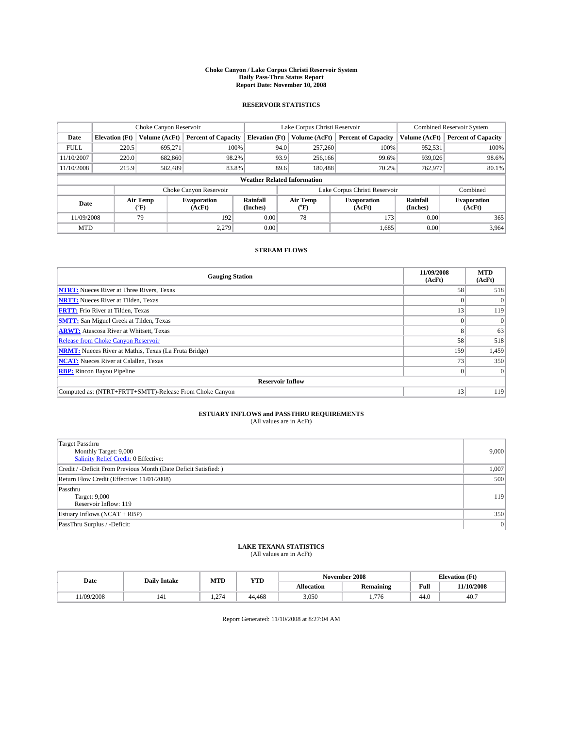#### **Choke Canyon / Lake Corpus Christi Reservoir System Daily Pass-Thru Status Report Report Date: November 10, 2008**

#### **RESERVOIR STATISTICS**

|             | Choke Canyon Reservoir             |                  |                              |                       | Lake Corpus Christi Reservoir |                  |                               |                      | <b>Combined Reservoir System</b> |  |
|-------------|------------------------------------|------------------|------------------------------|-----------------------|-------------------------------|------------------|-------------------------------|----------------------|----------------------------------|--|
| Date        | <b>Elevation</b> (Ft)              | Volume (AcFt)    | <b>Percent of Capacity</b>   | <b>Elevation</b> (Ft) |                               | Volume (AcFt)    | <b>Percent of Capacity</b>    | Volume (AcFt)        | <b>Percent of Capacity</b>       |  |
| <b>FULL</b> | 220.5                              | 695.271          |                              | 100%                  | 94.0                          | 257,260          | 100%                          | 952,531              | 100%                             |  |
| 11/10/2007  | 220.0                              | 682,860          | 98.2%                        |                       | 93.9                          | 256,166          | 99.6%                         | 939,026              | 98.6%                            |  |
| 11/10/2008  | 215.9                              | 582.489          | 83.8%                        |                       | 89.6                          | 180,488          | 70.2%                         | 762,977              | 80.1%                            |  |
|             | <b>Weather Related Information</b> |                  |                              |                       |                               |                  |                               |                      |                                  |  |
|             |                                    |                  | Choke Canyon Reservoir       |                       |                               |                  | Lake Corpus Christi Reservoir |                      | Combined                         |  |
| Date        |                                    | Air Temp<br>(°F) | <b>Evaporation</b><br>(AcFt) | Rainfall<br>(Inches)  |                               | Air Temp<br>("F) | <b>Evaporation</b><br>(AcFt)  | Rainfall<br>(Inches) | <b>Evaporation</b><br>(AcFt)     |  |
| 11/09/2008  |                                    | 79               | 192                          | 0.00                  |                               | 78               | 173                           | 0.00                 | 365                              |  |
| <b>MTD</b>  |                                    |                  | 2.279                        | 0.00                  |                               |                  | 1,685                         | 0.00                 | 3,964                            |  |

### **STREAM FLOWS**

| <b>Gauging Station</b>                                       | 11/09/2008<br>(AcFt) | <b>MTD</b><br>(AcFt) |  |  |  |  |  |
|--------------------------------------------------------------|----------------------|----------------------|--|--|--|--|--|
| <b>NTRT:</b> Nueces River at Three Rivers, Texas             | 58                   | 518                  |  |  |  |  |  |
| <b>NRTT:</b> Nueces River at Tilden, Texas                   |                      |                      |  |  |  |  |  |
| <b>FRTT:</b> Frio River at Tilden, Texas                     | 13                   | 119                  |  |  |  |  |  |
| <b>SMTT:</b> San Miguel Creek at Tilden, Texas               |                      |                      |  |  |  |  |  |
| <b>ARWT:</b> Atascosa River at Whitsett, Texas               | 8                    | 63                   |  |  |  |  |  |
| <b>Release from Choke Canyon Reservoir</b>                   | 58                   | 518                  |  |  |  |  |  |
| <b>NRMT:</b> Nueces River at Mathis, Texas (La Fruta Bridge) | 159                  | 1,459                |  |  |  |  |  |
| <b>NCAT:</b> Nueces River at Calallen, Texas                 | 73 <sub>1</sub>      | 350                  |  |  |  |  |  |
| <b>RBP:</b> Rincon Bayou Pipeline                            | $\overline{0}$       |                      |  |  |  |  |  |
| <b>Reservoir Inflow</b>                                      |                      |                      |  |  |  |  |  |
| Computed as: (NTRT+FRTT+SMTT)-Release From Choke Canyon      | 13                   | 119                  |  |  |  |  |  |

## **ESTUARY INFLOWS and PASSTHRU REQUIREMENTS**<br>(All values are in AcFt)

| <b>Target Passthru</b><br>Monthly Target: 9,000<br><b>Salinity Relief Credit: 0 Effective:</b> | 9,000 |
|------------------------------------------------------------------------------------------------|-------|
| Credit / -Deficit From Previous Month (Date Deficit Satisfied: )                               | 1,007 |
| Return Flow Credit (Effective: 11/01/2008)                                                     | 500   |
| Passthru<br>Target: 9,000<br>Reservoir Inflow: 119                                             | 119   |
| Estuary Inflows (NCAT + RBP)                                                                   | 350   |
| PassThru Surplus / -Deficit:                                                                   | 0     |

## **LAKE TEXANA STATISTICS** (All values are in AcFt)

| Date      | <b>Daily Intake</b> | MTD                               | YTD    |            | November 2008    | <b>Elevation</b> (Ft) |            |
|-----------|---------------------|-----------------------------------|--------|------------|------------------|-----------------------|------------|
|           |                     |                                   |        | Allocation | <b>Remaining</b> | Full                  | 11/10/2008 |
| 1/09/2008 |                     | 27 <sub>4</sub><br>$\overline{1}$ | 44.468 | 3,050      | .776             | 44.0                  | 40.7       |

Report Generated: 11/10/2008 at 8:27:04 AM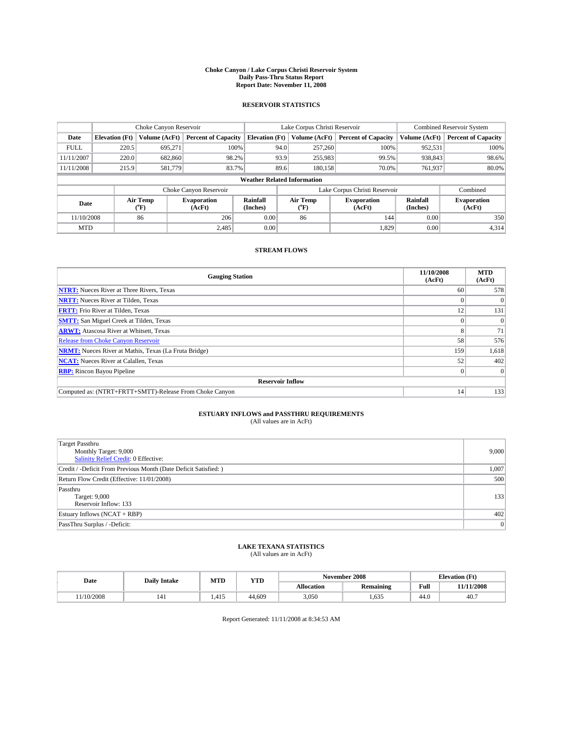#### **Choke Canyon / Lake Corpus Christi Reservoir System Daily Pass-Thru Status Report Report Date: November 11, 2008**

#### **RESERVOIR STATISTICS**

|                                    | Choke Canyon Reservoir |                  |                            |                       | Lake Corpus Christi Reservoir |                  |                               |                      | <b>Combined Reservoir System</b> |  |  |
|------------------------------------|------------------------|------------------|----------------------------|-----------------------|-------------------------------|------------------|-------------------------------|----------------------|----------------------------------|--|--|
| Date                               | <b>Elevation</b> (Ft)  | Volume (AcFt)    | <b>Percent of Capacity</b> | <b>Elevation</b> (Ft) |                               | Volume (AcFt)    | <b>Percent of Capacity</b>    | Volume (AcFt)        | <b>Percent of Capacity</b>       |  |  |
| <b>FULL</b>                        | 220.5                  | 695,271          | 100%                       |                       | 94.0                          | 257,260          | 100%                          | 952,531              | 100%                             |  |  |
| 11/11/2007                         | 220.0                  | 682,860          | 98.2%                      |                       | 93.9                          | 255,983          | 99.5%                         | 938,843              | 98.6%                            |  |  |
| 11/11/2008                         | 215.9                  | 581,779          | 83.7%                      |                       | 89.6                          | 180,158          | 70.0%                         | 761,937              | 80.0%                            |  |  |
| <b>Weather Related Information</b> |                        |                  |                            |                       |                               |                  |                               |                      |                                  |  |  |
|                                    |                        |                  | Choke Canyon Reservoir     |                       |                               |                  | Lake Corpus Christi Reservoir |                      | Combined                         |  |  |
| Date                               |                        | Air Temp<br>(°F) | Evaporation<br>(AcFt)      | Rainfall<br>(Inches)  |                               | Air Temp<br>("F) | <b>Evaporation</b><br>(AcFt)  | Rainfall<br>(Inches) | <b>Evaporation</b><br>(AcFt)     |  |  |
| 11/10/2008                         |                        | 86               | 206                        | 0.00                  |                               | 86               | 144                           | 0.00                 | 350                              |  |  |
| <b>MTD</b>                         |                        |                  | 2,485                      | 0.00                  |                               |                  | 1.829                         | 0.00                 | 4,314                            |  |  |

### **STREAM FLOWS**

| <b>Gauging Station</b>                                       | 11/10/2008<br>(AcFt) | <b>MTD</b><br>(AcFt) |
|--------------------------------------------------------------|----------------------|----------------------|
| <b>NTRT:</b> Nueces River at Three Rivers, Texas             | 60                   | 578                  |
| <b>NRTT:</b> Nueces River at Tilden, Texas                   |                      |                      |
| <b>FRTT:</b> Frio River at Tilden, Texas                     | 12                   | 131                  |
| <b>SMTT:</b> San Miguel Creek at Tilden, Texas               |                      |                      |
| <b>ARWT:</b> Atascosa River at Whitsett, Texas               | x                    | 71                   |
| <b>Release from Choke Canyon Reservoir</b>                   | 58                   | 576                  |
| <b>NRMT:</b> Nueces River at Mathis, Texas (La Fruta Bridge) | 159                  | 1,618                |
| <b>NCAT:</b> Nueces River at Calallen, Texas                 | 52                   | 402                  |
| <b>RBP:</b> Rincon Bayou Pipeline                            | $\vert 0 \vert$      |                      |
| <b>Reservoir Inflow</b>                                      |                      |                      |
| Computed as: (NTRT+FRTT+SMTT)-Release From Choke Canyon      | 14                   | 133                  |

## **ESTUARY INFLOWS and PASSTHRU REQUIREMENTS**<br>(All values are in AcFt)

| <b>Target Passthru</b><br>Monthly Target: 9,000<br><b>Salinity Relief Credit: 0 Effective:</b> | 9,000 |
|------------------------------------------------------------------------------------------------|-------|
| Credit / -Deficit From Previous Month (Date Deficit Satisfied: )                               | 1,007 |
| Return Flow Credit (Effective: 11/01/2008)                                                     | 500   |
| Passthru<br>Target: 9,000<br>Reservoir Inflow: 133                                             | 133   |
| Estuary Inflows (NCAT + RBP)                                                                   | 402   |
| PassThru Surplus / -Deficit:                                                                   | 0     |

## **LAKE TEXANA STATISTICS** (All values are in AcFt)

| Date      | <b>Daily Intake</b> | MTD                    | YTD    |            | November 2008    | <b>Elevation</b> (Ft) |            |
|-----------|---------------------|------------------------|--------|------------|------------------|-----------------------|------------|
|           |                     |                        |        | Allocation | <b>Remaining</b> | Full                  | 11/11/2008 |
| 1/10/2008 | 141                 | $\overline{1}$<br>ى41. | 44.609 | 3,050      | 1.635            | 44.0                  | 40.7       |

Report Generated: 11/11/2008 at 8:34:53 AM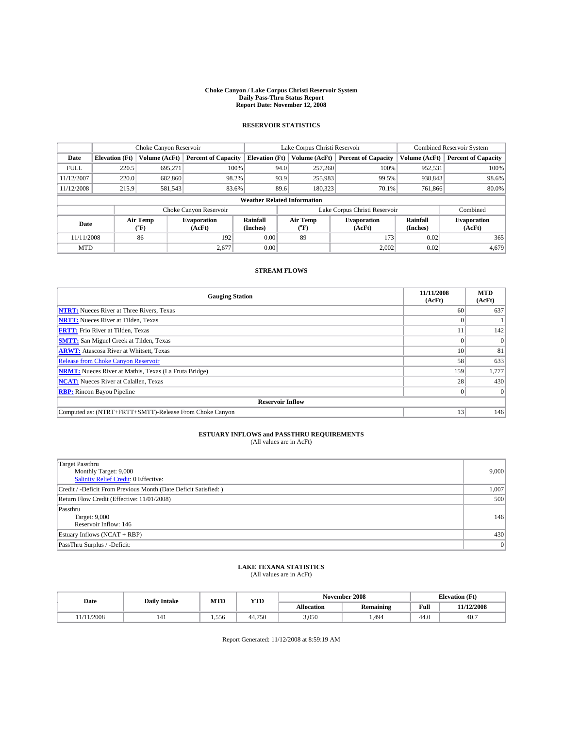#### **Choke Canyon / Lake Corpus Christi Reservoir System Daily Pass-Thru Status Report Report Date: November 12, 2008**

### **RESERVOIR STATISTICS**

|                                    | Choke Canyon Reservoir |                          |                              |                       | Lake Corpus Christi Reservoir |                  |                               |                      | <b>Combined Reservoir System</b> |  |
|------------------------------------|------------------------|--------------------------|------------------------------|-----------------------|-------------------------------|------------------|-------------------------------|----------------------|----------------------------------|--|
| Date                               | <b>Elevation</b> (Ft)  | Volume (AcFt)            | <b>Percent of Capacity</b>   | <b>Elevation</b> (Ft) |                               | Volume (AcFt)    | <b>Percent of Capacity</b>    | Volume (AcFt)        | <b>Percent of Capacity</b>       |  |
| <b>FULL</b>                        | 220.5                  | 695,271                  | 100%                         |                       | 94.0                          | 257,260          | 100%                          | 952,531              | 100%                             |  |
| 11/12/2007                         | 220.0                  | 682,860                  | 98.2%                        |                       | 93.9                          | 255,983          | 99.5%                         | 938,843              | 98.6%                            |  |
| 11/12/2008                         | 215.9                  | 581,543                  | 83.6%                        |                       | 89.6                          | 180,323          | 70.1%                         | 761,866              | 80.0%                            |  |
| <b>Weather Related Information</b> |                        |                          |                              |                       |                               |                  |                               |                      |                                  |  |
|                                    |                        |                          | Choke Canyon Reservoir       |                       |                               |                  | Lake Corpus Christi Reservoir |                      | Combined                         |  |
| Date                               |                        | Air Temp<br>$\rm ^{6}F)$ | <b>Evaporation</b><br>(AcFt) | Rainfall<br>(Inches)  |                               | Air Temp<br>("F) | <b>Evaporation</b><br>(AcFt)  | Rainfall<br>(Inches) | <b>Evaporation</b><br>(AcFt)     |  |
| 11/11/2008                         |                        | 86                       | 192                          | 0.00                  |                               | 89               | 173                           | 0.02                 | 365                              |  |
| <b>MTD</b>                         |                        |                          | 2,677                        | 0.00                  |                               |                  | 2,002                         | 0.02                 | 4,679                            |  |

### **STREAM FLOWS**

| <b>Gauging Station</b>                                       | 11/11/2008<br>(AcFt) | <b>MTD</b><br>(AcFt) |
|--------------------------------------------------------------|----------------------|----------------------|
| <b>NTRT:</b> Nueces River at Three Rivers, Texas             | 60                   | 637                  |
| <b>NRTT:</b> Nueces River at Tilden, Texas                   |                      |                      |
| <b>FRTT:</b> Frio River at Tilden, Texas                     |                      | 142                  |
| <b>SMTT:</b> San Miguel Creek at Tilden, Texas               |                      | $\overline{0}$       |
| <b>ARWT:</b> Atascosa River at Whitsett, Texas               | 10                   | 81                   |
| <b>Release from Choke Canyon Reservoir</b>                   | 58                   | 633                  |
| <b>NRMT:</b> Nueces River at Mathis, Texas (La Fruta Bridge) | 159                  | 1,777                |
| <b>NCAT:</b> Nueces River at Calallen, Texas                 | 28                   | 430                  |
| <b>RBP:</b> Rincon Bayou Pipeline                            |                      | $\Omega$             |
| <b>Reservoir Inflow</b>                                      |                      |                      |
| Computed as: (NTRT+FRTT+SMTT)-Release From Choke Canyon      | 13                   | 146                  |

### **ESTUARY INFLOWS and PASSTHRU REQUIREMENTS**<br>(All values are in AcFt)

| <b>Target Passthru</b><br>Monthly Target: 9,000<br>Salinity Relief Credit: 0 Effective: | 9,000 |
|-----------------------------------------------------------------------------------------|-------|
| Credit / -Deficit From Previous Month (Date Deficit Satisfied: )                        | 1,007 |
| Return Flow Credit (Effective: 11/01/2008)                                              | 500   |
| Passthru<br>Target: 9,000<br>Reservoir Inflow: 146                                      | 146   |
| Estuary Inflows (NCAT + RBP)                                                            | 430   |
| PassThru Surplus / -Deficit:                                                            | 0     |

## **LAKE TEXANA STATISTICS** (All values are in AcFt)

| Date  | <b>Daily Intake</b> | MTD   | <b>YTD</b> |                   | November 2008 | <b>Elevation</b> (Ft) |            |
|-------|---------------------|-------|------------|-------------------|---------------|-----------------------|------------|
|       |                     |       |            | <b>Allocation</b> | Remaining     | Full                  | 11/12/2008 |
| /2008 | 141                 | 1,556 | 44.750     | 3,050             | .494          | 44.0                  | 40.        |

Report Generated: 11/12/2008 at 8:59:19 AM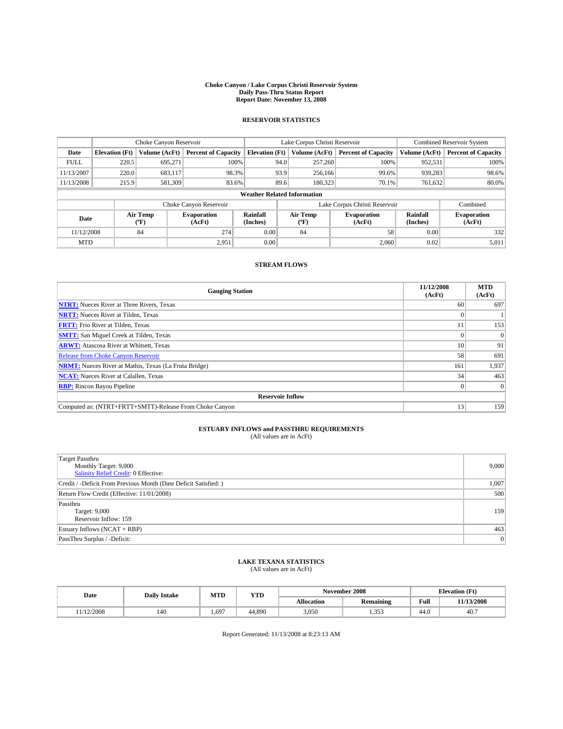#### **Choke Canyon / Lake Corpus Christi Reservoir System Daily Pass-Thru Status Report Report Date: November 13, 2008**

#### **RESERVOIR STATISTICS**

|                                    | Choke Canyon Reservoir |                                       |                            |                       | Lake Corpus Christi Reservoir |                               |                              |                      | <b>Combined Reservoir System</b> |  |  |
|------------------------------------|------------------------|---------------------------------------|----------------------------|-----------------------|-------------------------------|-------------------------------|------------------------------|----------------------|----------------------------------|--|--|
| Date                               | <b>Elevation</b> (Ft)  | Volume (AcFt)                         | <b>Percent of Capacity</b> | <b>Elevation</b> (Ft) |                               | Volume (AcFt)                 | <b>Percent of Capacity</b>   | Volume (AcFt)        | <b>Percent of Capacity</b>       |  |  |
| <b>FULL</b>                        | 220.5                  | 695,271                               | 100%                       |                       | 94.0                          | 257,260                       | 100%                         | 952,531              | 100%                             |  |  |
| 11/13/2007                         | 220.0                  | 683,117                               | 98.3%                      |                       | 93.9                          | 256,166                       | 99.6%                        | 939,283              | 98.6%                            |  |  |
| 11/13/2008                         | 215.9                  | 581.309                               | 83.6%                      |                       | 89.6                          | 180.323                       | 70.1%                        | 761,632              | 80.0%                            |  |  |
| <b>Weather Related Information</b> |                        |                                       |                            |                       |                               |                               |                              |                      |                                  |  |  |
|                                    |                        |                                       | Choke Canyon Reservoir     |                       |                               | Lake Corpus Christi Reservoir |                              |                      | Combined                         |  |  |
| Date                               |                        | <b>Air Temp</b><br>$({}^o\mathbf{F})$ | Evaporation<br>(AcFt)      | Rainfall<br>(Inches)  |                               | Air Temp<br>("F)              | <b>Evaporation</b><br>(AcFt) | Rainfall<br>(Inches) | <b>Evaporation</b><br>(AcFt)     |  |  |
| 11/12/2008                         |                        | 84                                    | 274                        | 0.00                  |                               | 84                            | 58                           | 0.00                 | 332                              |  |  |
| <b>MTD</b>                         |                        |                                       | 2,951                      | 0.00                  |                               |                               | 2,060                        | 0.02                 | 5,011                            |  |  |

#### **STREAM FLOWS**

| <b>Gauging Station</b>                                       | 11/12/2008<br>(AcFt) | <b>MTD</b><br>(AcFt) |
|--------------------------------------------------------------|----------------------|----------------------|
| <b>NTRT:</b> Nueces River at Three Rivers, Texas             | 60                   | 697                  |
| <b>NRTT:</b> Nueces River at Tilden, Texas                   |                      |                      |
| <b>FRTT:</b> Frio River at Tilden, Texas                     |                      | 153                  |
| <b>SMTT:</b> San Miguel Creek at Tilden, Texas               |                      | $\Omega$             |
| <b>ARWT:</b> Atascosa River at Whitsett, Texas               | 10                   | 91                   |
| <b>Release from Choke Canyon Reservoir</b>                   | 58                   | 691                  |
| <b>NRMT:</b> Nueces River at Mathis, Texas (La Fruta Bridge) | 161                  | 1,937                |
| <b>NCAT:</b> Nueces River at Calallen, Texas                 | 34                   | 463                  |
| <b>RBP:</b> Rincon Bayou Pipeline                            |                      | $\overline{0}$       |
| <b>Reservoir Inflow</b>                                      |                      |                      |
| Computed as: (NTRT+FRTT+SMTT)-Release From Choke Canyon      | 13                   | 159                  |

## **ESTUARY INFLOWS and PASSTHRU REQUIREMENTS**<br>(All values are in AcFt)

| Target Passthru<br>Monthly Target: 9,000<br><b>Salinity Relief Credit: 0 Effective:</b> | 9,000          |
|-----------------------------------------------------------------------------------------|----------------|
| Credit / -Deficit From Previous Month (Date Deficit Satisfied: )                        | 1,007          |
| Return Flow Credit (Effective: 11/01/2008)                                              | 500            |
| Passthru<br>Target: 9,000<br>Reservoir Inflow: 159                                      | 159            |
| Estuary Inflows (NCAT + RBP)                                                            | 463            |
| PassThru Surplus / -Deficit:                                                            | $\overline{0}$ |

### **LAKE TEXANA STATISTICS** (All values are in AcFt)

| Date      | <b>Daily Intake</b> | MTD | <b>YTD</b> |                   | November 2008       | <b>Elevation</b> (Ft) |            |
|-----------|---------------------|-----|------------|-------------------|---------------------|-----------------------|------------|
|           |                     |     |            | <b>Allocation</b> | <b>Remaining</b>    | Full                  | 11/13/2008 |
| 1/12/2008 | 140                 | 697 | 44.890     | 3.050             | 252<br>. . <i>.</i> | 44.0                  | 40.7       |

Report Generated: 11/13/2008 at 8:23:13 AM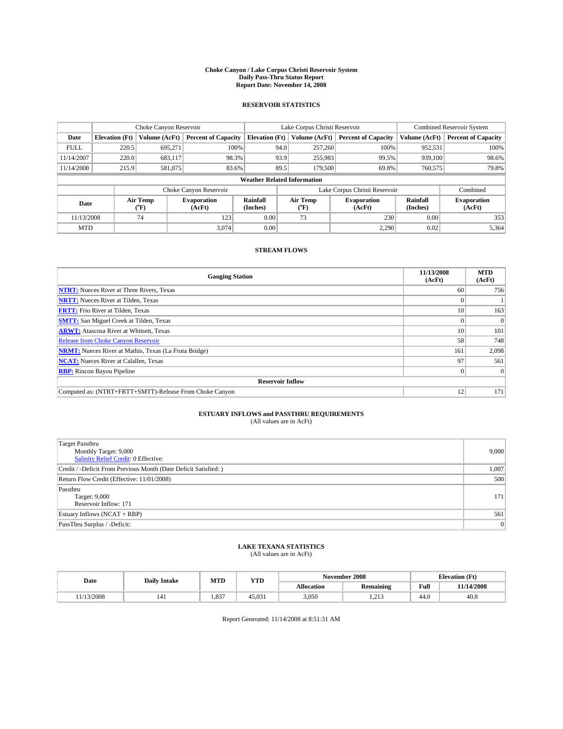#### **Choke Canyon / Lake Corpus Christi Reservoir System Daily Pass-Thru Status Report Report Date: November 14, 2008**

#### **RESERVOIR STATISTICS**

|                                    | Choke Canyon Reservoir |                  |                              |                       | Lake Corpus Christi Reservoir |                  |                              |                      | <b>Combined Reservoir System</b> |  |  |
|------------------------------------|------------------------|------------------|------------------------------|-----------------------|-------------------------------|------------------|------------------------------|----------------------|----------------------------------|--|--|
| Date                               | <b>Elevation</b> (Ft)  | Volume (AcFt)    | <b>Percent of Capacity</b>   | <b>Elevation</b> (Ft) |                               | Volume (AcFt)    | <b>Percent of Capacity</b>   | Volume (AcFt)        | <b>Percent of Capacity</b>       |  |  |
| <b>FULL</b>                        | 220.5                  | 695,271          |                              | 100%                  | 94.0                          | 257,260          | 100%                         | 952,531              | 100%                             |  |  |
| 11/14/2007                         | 220.0                  | 683.117          | 98.3%                        |                       | 93.9                          | 255,983          | 99.5%                        | 939,100              | 98.6%                            |  |  |
| 11/14/2008                         | 215.9                  | 581,075          | 83.6%                        |                       | 89.5                          | 179,500          | 69.8%                        | 760,575              | 79.8%                            |  |  |
| <b>Weather Related Information</b> |                        |                  |                              |                       |                               |                  |                              |                      |                                  |  |  |
|                                    |                        |                  | Choke Canyon Reservoir       |                       | Lake Corpus Christi Reservoir |                  |                              |                      | Combined                         |  |  |
| Date                               |                        | Air Temp<br>(°F) | <b>Evaporation</b><br>(AcFt) | Rainfall<br>(Inches)  |                               | Air Temp<br>("F) | <b>Evaporation</b><br>(AcFt) | Rainfall<br>(Inches) | <b>Evaporation</b><br>(AcFt)     |  |  |
| 11/13/2008                         |                        | 74               | 123                          | 0.00                  |                               | 73               | 230                          | 0.00                 | 353                              |  |  |
| <b>MTD</b>                         |                        |                  | 3,074                        | 0.00                  |                               |                  | 2,290                        | 0.02                 | 5,364                            |  |  |

### **STREAM FLOWS**

| <b>Gauging Station</b>                                       | 11/13/2008<br>(AcFt) | <b>MTD</b><br>(AcFt) |
|--------------------------------------------------------------|----------------------|----------------------|
| <b>NTRT:</b> Nueces River at Three Rivers, Texas             | 60                   | 756                  |
| <b>NRTT:</b> Nueces River at Tilden, Texas                   |                      |                      |
| <b>FRTT:</b> Frio River at Tilden, Texas                     | 10                   | 163                  |
| <b>SMTT:</b> San Miguel Creek at Tilden, Texas               |                      |                      |
| <b>ARWT:</b> Atascosa River at Whitsett, Texas               | 10                   | 101                  |
| <b>Release from Choke Canyon Reservoir</b>                   | 58                   | 748                  |
| <b>NRMT:</b> Nueces River at Mathis, Texas (La Fruta Bridge) | 161                  | 2,098                |
| <b>NCAT:</b> Nueces River at Calallen, Texas                 | 97                   | 561                  |
| <b>RBP:</b> Rincon Bayou Pipeline                            | $\overline{0}$       |                      |
| <b>Reservoir Inflow</b>                                      |                      |                      |
| Computed as: (NTRT+FRTT+SMTT)-Release From Choke Canyon      | 12                   | 171                  |

## **ESTUARY INFLOWS and PASSTHRU REQUIREMENTS**<br>(All values are in AcFt)

| <b>Target Passthru</b><br>Monthly Target: 9,000<br><b>Salinity Relief Credit: 0 Effective:</b> | 9,000 |
|------------------------------------------------------------------------------------------------|-------|
| Credit / -Deficit From Previous Month (Date Deficit Satisfied: )                               | 1,007 |
| Return Flow Credit (Effective: 11/01/2008)                                                     | 500   |
| Passthru<br>Target: 9,000<br>Reservoir Inflow: 171                                             | 171   |
| Estuary Inflows (NCAT + RBP)                                                                   | 561   |
| PassThru Surplus / -Deficit:                                                                   | 0     |

## **LAKE TEXANA STATISTICS** (All values are in AcFt)

| Date      | <b>Daily Intake</b> | MTD  | YTD    |            | November 2008          |      | <b>Elevation</b> (Ft) |
|-----------|---------------------|------|--------|------------|------------------------|------|-----------------------|
|           |                     |      |        | Allocation | <b>Remaining</b>       | Full | 11/14/2008            |
| 1/13/2008 |                     | .837 | 45.031 | 3.050      | $\sim$ $\sim$<br>ر د م | 44.0 | 40.8                  |

Report Generated: 11/14/2008 at 8:51:31 AM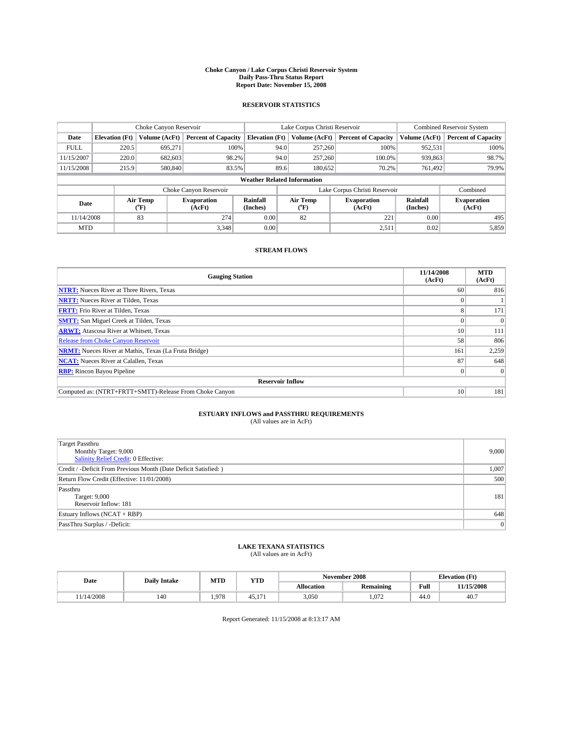#### **Choke Canyon / Lake Corpus Christi Reservoir System Daily Pass-Thru Status Report Report Date: November 15, 2008**

#### **RESERVOIR STATISTICS**

|                                    | Choke Canyon Reservoir |                  |                              |                       | Lake Corpus Christi Reservoir |                  |                              |                      | <b>Combined Reservoir System</b> |  |  |
|------------------------------------|------------------------|------------------|------------------------------|-----------------------|-------------------------------|------------------|------------------------------|----------------------|----------------------------------|--|--|
| Date                               | <b>Elevation</b> (Ft)  | Volume (AcFt)    | <b>Percent of Capacity</b>   | <b>Elevation</b> (Ft) |                               | Volume (AcFt)    | <b>Percent of Capacity</b>   | Volume (AcFt)        | <b>Percent of Capacity</b>       |  |  |
| <b>FULL</b>                        | 220.5                  | 695,271          |                              | 100%                  | 94.0                          | 257,260          | 100%                         | 952,531              | 100%                             |  |  |
| 11/15/2007                         | 220.0                  | 682.603          | 98.2%                        |                       | 94.0                          | 257,260          | 100.0%                       | 939,863              | 98.7%                            |  |  |
| 11/15/2008                         | 215.9                  | 580,840          | 83.5%                        |                       | 89.6                          | 180.652          | 70.2%                        | 761,492              | 79.9%                            |  |  |
| <b>Weather Related Information</b> |                        |                  |                              |                       |                               |                  |                              |                      |                                  |  |  |
|                                    |                        |                  | Choke Canyon Reservoir       |                       | Lake Corpus Christi Reservoir |                  |                              |                      | Combined                         |  |  |
| Date                               |                        | Air Temp<br>(°F) | <b>Evaporation</b><br>(AcFt) | Rainfall<br>(Inches)  |                               | Air Temp<br>("F) | <b>Evaporation</b><br>(AcFt) | Rainfall<br>(Inches) | <b>Evaporation</b><br>(AcFt)     |  |  |
| 11/14/2008                         |                        | 83               | 274                          | 0.00                  |                               | 82               | 221                          | 0.00                 | 495                              |  |  |
| <b>MTD</b>                         |                        |                  | 3,348                        | 0.00                  |                               |                  | 2,511                        | 0.02                 | 5,859                            |  |  |

### **STREAM FLOWS**

| <b>Gauging Station</b>                                       | 11/14/2008<br>(AcFt) | <b>MTD</b><br>(AcFt) |
|--------------------------------------------------------------|----------------------|----------------------|
| <b>NTRT:</b> Nueces River at Three Rivers, Texas             | 60                   | 816                  |
| <b>NRTT:</b> Nueces River at Tilden, Texas                   |                      |                      |
| <b>FRTT:</b> Frio River at Tilden, Texas                     |                      | 171                  |
| <b>SMTT:</b> San Miguel Creek at Tilden, Texas               |                      |                      |
| <b>ARWT:</b> Atascosa River at Whitsett, Texas               | 10                   | 111                  |
| Release from Choke Canyon Reservoir                          | 58                   | 806                  |
| <b>NRMT:</b> Nueces River at Mathis, Texas (La Fruta Bridge) | 161                  | 2,259                |
| <b>NCAT:</b> Nueces River at Calallen, Texas                 | 87                   | 648                  |
| <b>RBP:</b> Rincon Bayou Pipeline                            | $\Omega$             |                      |
| <b>Reservoir Inflow</b>                                      |                      |                      |
| Computed as: (NTRT+FRTT+SMTT)-Release From Choke Canyon      | 10                   | 181                  |

## **ESTUARY INFLOWS and PASSTHRU REQUIREMENTS**<br>(All values are in AcFt)

| <b>Target Passthru</b><br>Monthly Target: 9,000<br><b>Salinity Relief Credit: 0 Effective:</b> | 9,000 |
|------------------------------------------------------------------------------------------------|-------|
| Credit / -Deficit From Previous Month (Date Deficit Satisfied: )                               | 1,007 |
| Return Flow Credit (Effective: 11/01/2008)                                                     | 500   |
| Passthru<br>Target: 9,000<br>Reservoir Inflow: 181                                             | 181   |
| Estuary Inflows (NCAT + RBP)                                                                   | 648   |
| PassThru Surplus / -Deficit:                                                                   | 0     |

## **LAKE TEXANA STATISTICS** (All values are in AcFt)

| Date      | <b>Daily Intake</b> | MTD   | YTD                   |            | November 2008    |      | <b>Elevation</b> (Ft) |
|-----------|---------------------|-------|-----------------------|------------|------------------|------|-----------------------|
|           |                     |       |                       | Allocation | <b>Remaining</b> | Full | 11/15/2008            |
| 1/14/2008 | 140                 | 1.978 | $\sim$<br>45<br>TJ.I. | 3,050      | 1.072            | 44.0 | 40.7                  |

Report Generated: 11/15/2008 at 8:13:17 AM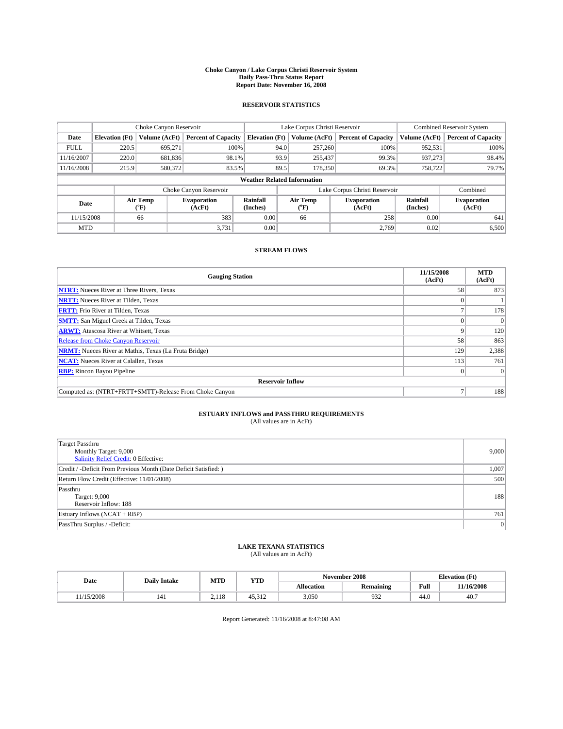#### **Choke Canyon / Lake Corpus Christi Reservoir System Daily Pass-Thru Status Report Report Date: November 16, 2008**

#### **RESERVOIR STATISTICS**

|                                    | Choke Canyon Reservoir |                  |                              |                       | Lake Corpus Christi Reservoir |                  |                               |                      | <b>Combined Reservoir System</b> |  |
|------------------------------------|------------------------|------------------|------------------------------|-----------------------|-------------------------------|------------------|-------------------------------|----------------------|----------------------------------|--|
| Date                               | <b>Elevation</b> (Ft)  | Volume (AcFt)    | <b>Percent of Capacity</b>   | <b>Elevation</b> (Ft) |                               | Volume (AcFt)    | <b>Percent of Capacity</b>    | Volume (AcFt)        | <b>Percent of Capacity</b>       |  |
| <b>FULL</b>                        | 220.5                  | 695,271          | 100%                         |                       | 94.0                          | 257,260          | 100%                          | 952,531              | 100%                             |  |
| 11/16/2007                         | 220.0                  | 681.836          | 98.1%                        |                       | 93.9                          | 255,437          | 99.3%                         | 937.273              | 98.4%                            |  |
| 11/16/2008                         | 215.9                  | 580,372          | 83.5%                        |                       | 89.5                          | 178,350          | 69.3%                         | 758,722              | 79.7%                            |  |
| <b>Weather Related Information</b> |                        |                  |                              |                       |                               |                  |                               |                      |                                  |  |
|                                    |                        |                  | Choke Canyon Reservoir       |                       |                               |                  | Lake Corpus Christi Reservoir |                      | Combined                         |  |
| Date                               |                        | Air Temp<br>(°F) | <b>Evaporation</b><br>(AcFt) | Rainfall<br>(Inches)  |                               | Air Temp<br>("F) | <b>Evaporation</b><br>(AcFt)  | Rainfall<br>(Inches) | <b>Evaporation</b><br>(AcFt)     |  |
| 11/15/2008                         |                        | 66               | 383                          | 0.00                  |                               | 66               | 258                           | 0.00                 | 641                              |  |
| <b>MTD</b>                         |                        |                  | 3,731                        | 0.00                  |                               |                  | 2.769                         | 0.02                 | 6,500                            |  |

### **STREAM FLOWS**

| <b>Gauging Station</b>                                       | 11/15/2008<br>(AcFt) | <b>MTD</b><br>(AcFt) |
|--------------------------------------------------------------|----------------------|----------------------|
| <b>NTRT:</b> Nueces River at Three Rivers, Texas             | 58                   | 873                  |
| <b>NRTT:</b> Nueces River at Tilden, Texas                   |                      |                      |
| <b>FRTT:</b> Frio River at Tilden, Texas                     |                      | 178                  |
| <b>SMTT:</b> San Miguel Creek at Tilden, Texas               |                      |                      |
| <b>ARWT:</b> Atascosa River at Whitsett, Texas               | 9                    | 120                  |
| <b>Release from Choke Canyon Reservoir</b>                   | 58                   | 863                  |
| <b>NRMT:</b> Nueces River at Mathis, Texas (La Fruta Bridge) | 129                  | 2,388                |
| <b>NCAT:</b> Nueces River at Calallen, Texas                 | 113                  | 761                  |
| <b>RBP:</b> Rincon Bayou Pipeline                            | $\overline{0}$       |                      |
| <b>Reservoir Inflow</b>                                      |                      |                      |
| Computed as: (NTRT+FRTT+SMTT)-Release From Choke Canyon      |                      | 188                  |

## **ESTUARY INFLOWS and PASSTHRU REQUIREMENTS**<br>(All values are in AcFt)

| <b>Target Passthru</b><br>Monthly Target: 9,000                  | 9,000          |
|------------------------------------------------------------------|----------------|
| <b>Salinity Relief Credit: 0 Effective:</b>                      |                |
| Credit / -Deficit From Previous Month (Date Deficit Satisfied: ) | 1,007          |
| Return Flow Credit (Effective: 11/01/2008)                       | 500            |
| Passthru                                                         |                |
| Target: 9,000                                                    | 188            |
| Reservoir Inflow: 188                                            |                |
| Estuary Inflows (NCAT + RBP)                                     | 761            |
| PassThru Surplus / -Deficit:                                     | $\overline{0}$ |
|                                                                  |                |

## **LAKE TEXANA STATISTICS** (All values are in AcFt)

| Date      | <b>Daily Intake</b> | MTD          | YTD |            | November 2008    | <b>Elevation</b> (Ft) |            |
|-----------|---------------------|--------------|-----|------------|------------------|-----------------------|------------|
|           |                     |              |     | Allocation | <b>Remaining</b> | Full                  | 11/16/2008 |
| 1/15/2008 | 141                 | 110<br>4.110 |     | 3,050      | 932              | 44.0                  | 40.7       |

Report Generated: 11/16/2008 at 8:47:08 AM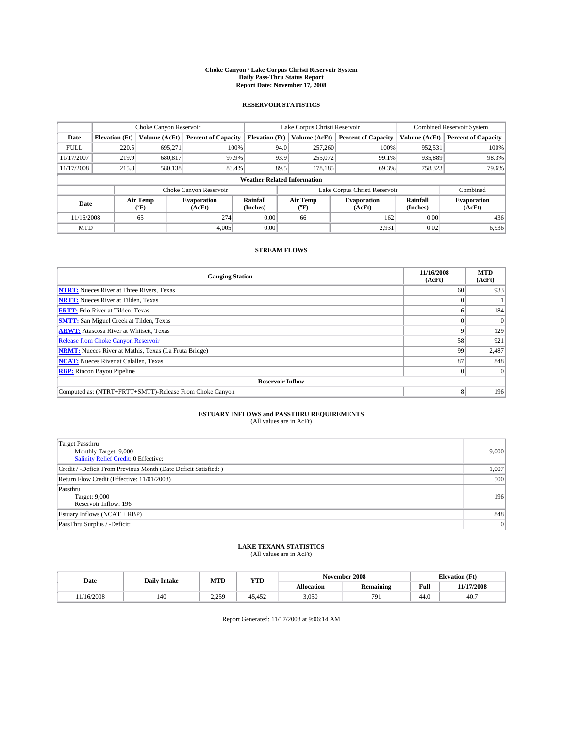#### **Choke Canyon / Lake Corpus Christi Reservoir System Daily Pass-Thru Status Report Report Date: November 17, 2008**

#### **RESERVOIR STATISTICS**

|             | Choke Canyon Reservoir             |                  |                              |                       | Lake Corpus Christi Reservoir |                  |                               |                      | <b>Combined Reservoir System</b> |  |
|-------------|------------------------------------|------------------|------------------------------|-----------------------|-------------------------------|------------------|-------------------------------|----------------------|----------------------------------|--|
| Date        | <b>Elevation</b> (Ft)              | Volume (AcFt)    | <b>Percent of Capacity</b>   | <b>Elevation</b> (Ft) |                               | Volume (AcFt)    | <b>Percent of Capacity</b>    | Volume (AcFt)        | <b>Percent of Capacity</b>       |  |
| <b>FULL</b> | 220.5                              | 695.271          |                              | 100%                  | 94.0                          | 257,260          | 100%                          | 952,531              | 100%                             |  |
| 11/17/2007  | 219.9                              | 680,817          | 97.9%                        |                       | 93.9                          | 255,072          | 99.1%                         | 935,889              | 98.3%                            |  |
| 11/17/2008  | 215.8                              | 580,138          | 83.4%                        |                       | 89.5                          | 178,185          | 69.3%                         | 758,323              | 79.6%                            |  |
|             | <b>Weather Related Information</b> |                  |                              |                       |                               |                  |                               |                      |                                  |  |
|             |                                    |                  | Choke Canyon Reservoir       |                       |                               |                  | Lake Corpus Christi Reservoir |                      | Combined                         |  |
| Date        |                                    | Air Temp<br>(°F) | <b>Evaporation</b><br>(AcFt) | Rainfall<br>(Inches)  |                               | Air Temp<br>("F) | <b>Evaporation</b><br>(AcFt)  | Rainfall<br>(Inches) | <b>Evaporation</b><br>(AcFt)     |  |
| 11/16/2008  |                                    | 65               | 274                          | 0.00                  |                               | 66               | 162                           | 0.00                 | 436                              |  |
| <b>MTD</b>  |                                    |                  | 4.005                        | 0.00                  |                               |                  | 2,931                         | 0.02                 | 6,936                            |  |

### **STREAM FLOWS**

| <b>Gauging Station</b>                                       | 11/16/2008<br>(AcFt) | <b>MTD</b><br>(AcFt) |
|--------------------------------------------------------------|----------------------|----------------------|
| <b>NTRT:</b> Nueces River at Three Rivers, Texas             | 60                   | 933                  |
| <b>NRTT:</b> Nueces River at Tilden, Texas                   |                      |                      |
| <b>FRTT:</b> Frio River at Tilden, Texas                     | n.                   | 184                  |
| <b>SMTT:</b> San Miguel Creek at Tilden, Texas               |                      |                      |
| <b>ARWT:</b> Atascosa River at Whitsett, Texas               | 9                    | 129                  |
| <b>Release from Choke Canyon Reservoir</b>                   | 58                   | 921                  |
| <b>NRMT:</b> Nueces River at Mathis, Texas (La Fruta Bridge) | 99                   | 2,487                |
| <b>NCAT:</b> Nueces River at Calallen, Texas                 | 87                   | 848                  |
| <b>RBP:</b> Rincon Bayou Pipeline                            | $\overline{0}$       |                      |
| <b>Reservoir Inflow</b>                                      |                      |                      |
| Computed as: (NTRT+FRTT+SMTT)-Release From Choke Canyon      | 8 <sup>1</sup>       | 196                  |

## **ESTUARY INFLOWS and PASSTHRU REQUIREMENTS**<br>(All values are in AcFt)

| <b>Target Passthru</b>                                           |                |
|------------------------------------------------------------------|----------------|
| Monthly Target: 9,000                                            | 9,000          |
| <b>Salinity Relief Credit: 0 Effective:</b>                      |                |
| Credit / -Deficit From Previous Month (Date Deficit Satisfied: ) | 1,007          |
| Return Flow Credit (Effective: 11/01/2008)                       | 500            |
| Passthru                                                         |                |
| Target: 9,000                                                    | 196            |
| Reservoir Inflow: 196                                            |                |
| Estuary Inflows (NCAT + RBP)                                     | 848            |
| PassThru Surplus / -Deficit:                                     | $\overline{0}$ |
|                                                                  |                |

## **LAKE TEXANA STATISTICS** (All values are in AcFt)

| Date |           | <b>Daily Intake</b> | MTD                | <b>YTD</b> |            | November 2008    | <b>Elevation</b> (Ft)                       |            |
|------|-----------|---------------------|--------------------|------------|------------|------------------|---------------------------------------------|------------|
|      |           |                     |                    |            | Allocation | <b>Remaining</b> | Full<br>the contract of the contract of the | 11/17/2008 |
|      | 1/16/2008 | 140                 | 2259<br><u>.</u> . | 45.452     | 3,050      | 791              | 44.0                                        | 40.7       |

Report Generated: 11/17/2008 at 9:06:14 AM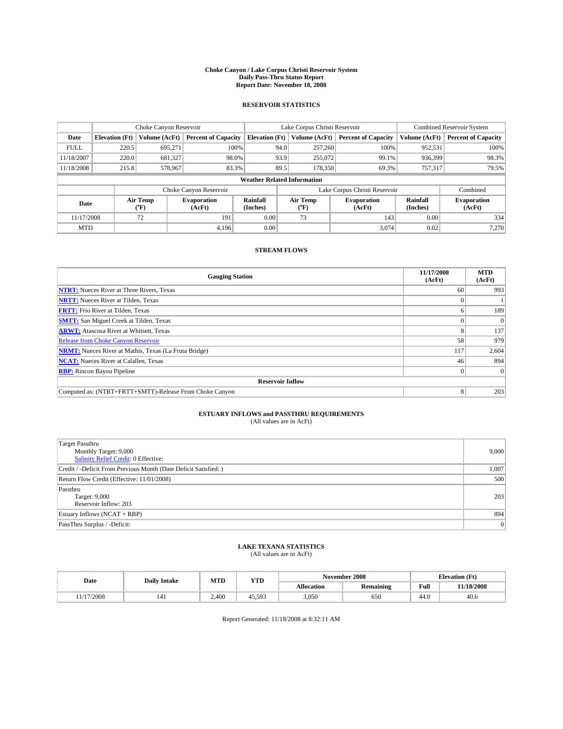#### **Choke Canyon / Lake Corpus Christi Reservoir System Daily Pass-Thru Status Report Report Date: November 18, 2008**

#### **RESERVOIR STATISTICS**

|                                    | Choke Canyon Reservoir |                  |                              |                       | Lake Corpus Christi Reservoir |                  |                               |                      | <b>Combined Reservoir System</b> |  |  |
|------------------------------------|------------------------|------------------|------------------------------|-----------------------|-------------------------------|------------------|-------------------------------|----------------------|----------------------------------|--|--|
| Date                               | <b>Elevation</b> (Ft)  | Volume (AcFt)    | <b>Percent of Capacity</b>   | <b>Elevation</b> (Ft) |                               | Volume (AcFt)    | <b>Percent of Capacity</b>    | Volume (AcFt)        | <b>Percent of Capacity</b>       |  |  |
| <b>FULL</b>                        | 220.5                  | 695,271          | 100%                         |                       | 94.0                          | 257,260          | 100%                          | 952,531              | 100%                             |  |  |
| 11/18/2007                         | 220.0                  | 681,327          | 98.0%                        |                       | 93.9                          | 255,072          | 99.1%                         | 936,399              | 98.3%                            |  |  |
| 11/18/2008                         | 215.8                  | 578,967          | 83.3%                        |                       | 89.5                          | 178,350          | 69.3%                         | 757,317              | 79.5%                            |  |  |
| <b>Weather Related Information</b> |                        |                  |                              |                       |                               |                  |                               |                      |                                  |  |  |
|                                    |                        |                  | Choke Canyon Reservoir       |                       |                               |                  | Lake Corpus Christi Reservoir |                      | Combined                         |  |  |
| Date                               |                        | Air Temp<br>(°F) | <b>Evaporation</b><br>(AcFt) | Rainfall<br>(Inches)  |                               | Air Temp<br>("F) | <b>Evaporation</b><br>(AcFt)  | Rainfall<br>(Inches) | <b>Evaporation</b><br>(AcFt)     |  |  |
| 11/17/2008                         |                        | 72               | 191                          | 0.00                  |                               | 73               | 143                           | 0.00                 | 334                              |  |  |
| <b>MTD</b>                         |                        |                  | 4,196                        | 0.00                  |                               |                  | 3,074                         | 0.02                 | 7,270                            |  |  |

### **STREAM FLOWS**

| <b>Gauging Station</b>                                       | 11/17/2008<br>(AcFt) | <b>MTD</b><br>(AcFt) |
|--------------------------------------------------------------|----------------------|----------------------|
| <b>NTRT:</b> Nueces River at Three Rivers, Texas             | 60                   | 993                  |
| <b>NRTT:</b> Nueces River at Tilden, Texas                   |                      |                      |
| <b>FRTT:</b> Frio River at Tilden, Texas                     |                      | 189                  |
| <b>SMTT:</b> San Miguel Creek at Tilden, Texas               |                      |                      |
| <b>ARWT:</b> Atascosa River at Whitsett, Texas               | 8                    | 137                  |
| <b>Release from Choke Canyon Reservoir</b>                   | 58                   | 979                  |
| <b>NRMT:</b> Nueces River at Mathis, Texas (La Fruta Bridge) | 117                  | 2,604                |
| <b>NCAT:</b> Nueces River at Calallen, Texas                 | 46                   | 894                  |
| <b>RBP:</b> Rincon Bayou Pipeline                            | $\vert 0 \vert$      |                      |
| <b>Reservoir Inflow</b>                                      |                      |                      |
| Computed as: (NTRT+FRTT+SMTT)-Release From Choke Canyon      | 8                    | 203                  |

## **ESTUARY INFLOWS and PASSTHRU REQUIREMENTS**<br>(All values are in AcFt)

| <b>Target Passthru</b><br>Monthly Target: 9,000<br><b>Salinity Relief Credit: 0 Effective:</b> | 9,000 |
|------------------------------------------------------------------------------------------------|-------|
| Credit / -Deficit From Previous Month (Date Deficit Satisfied: )                               | 1,007 |
| Return Flow Credit (Effective: 11/01/2008)                                                     | 500   |
| Passthru<br>Target: 9,000<br>Reservoir Inflow: 203                                             | 203   |
| Estuary Inflows (NCAT + RBP)                                                                   | 894   |
| PassThru Surplus / -Deficit:                                                                   | 0     |

## **LAKE TEXANA STATISTICS** (All values are in AcFt)

| Date      | <b>Daily Intake</b> | MTD   | YTD    |            | November 2008    | <b>Elevation</b> (Ft) |            |
|-----------|---------------------|-------|--------|------------|------------------|-----------------------|------------|
|           |                     |       |        | Allocation | <b>Remaining</b> | Full                  | 11/18/2008 |
| 1/17/2008 | 141                 | 2.400 | 45.593 | 3,050      | 650              | 44.0                  | 40.6       |

Report Generated: 11/18/2008 at 8:32:11 AM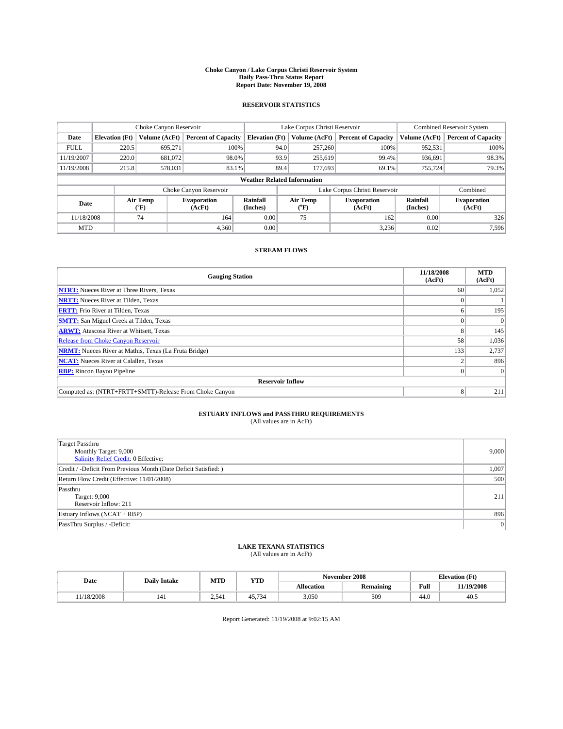#### **Choke Canyon / Lake Corpus Christi Reservoir System Daily Pass-Thru Status Report Report Date: November 19, 2008**

#### **RESERVOIR STATISTICS**

|             | Choke Canyon Reservoir             |                  |                              |                             | Lake Corpus Christi Reservoir |                  |                              |                      | <b>Combined Reservoir System</b> |  |  |
|-------------|------------------------------------|------------------|------------------------------|-----------------------------|-------------------------------|------------------|------------------------------|----------------------|----------------------------------|--|--|
| Date        | <b>Elevation</b> (Ft)              | Volume (AcFt)    | <b>Percent of Capacity</b>   | <b>Elevation</b> (Ft)       |                               | Volume (AcFt)    | <b>Percent of Capacity</b>   | Volume (AcFt)        | <b>Percent of Capacity</b>       |  |  |
| <b>FULL</b> | 220.5                              | 695.271          |                              | 100%                        | 94.0                          | 257,260          | 100%                         | 952,531              | 100%                             |  |  |
| 11/19/2007  | 220.0                              | 681.072          |                              | 98.0%                       | 93.9                          | 255,619          | 99.4%                        | 936.691              | 98.3%                            |  |  |
| 11/19/2008  | 215.8                              | 578,031          | 83.1%                        |                             | 89.4                          | 177,693          | 69.1%                        | 755,724              | 79.3%                            |  |  |
|             | <b>Weather Related Information</b> |                  |                              |                             |                               |                  |                              |                      |                                  |  |  |
|             |                                    |                  | Choke Canyon Reservoir       |                             | Lake Corpus Christi Reservoir |                  |                              |                      | Combined                         |  |  |
| Date        |                                    | Air Temp<br>(°F) | <b>Evaporation</b><br>(AcFt) | <b>Rainfall</b><br>(Inches) |                               | Air Temp<br>("F) | <b>Evaporation</b><br>(AcFt) | Rainfall<br>(Inches) | <b>Evaporation</b><br>(AcFt)     |  |  |
| 11/18/2008  |                                    | 74               | 164                          | 0.00                        |                               | 75               | 162                          | 0.00                 | 326                              |  |  |
| <b>MTD</b>  |                                    |                  | 4.360                        | 0.00                        |                               |                  | 3,236                        | 0.02                 | 7,596                            |  |  |

### **STREAM FLOWS**

| <b>Gauging Station</b>                                       | 11/18/2008<br>(AcFt) | <b>MTD</b><br>(AcFt) |
|--------------------------------------------------------------|----------------------|----------------------|
| <b>NTRT:</b> Nueces River at Three Rivers, Texas             | 60                   | 1,052                |
| <b>NRTT:</b> Nueces River at Tilden, Texas                   |                      |                      |
| <b>FRTT:</b> Frio River at Tilden, Texas                     |                      | 195                  |
| <b>SMTT:</b> San Miguel Creek at Tilden, Texas               |                      | $\Omega$             |
| <b>ARWT:</b> Atascosa River at Whitsett, Texas               |                      | 145                  |
| <b>Release from Choke Canyon Reservoir</b>                   | 58                   | 1,036                |
| <b>NRMT:</b> Nueces River at Mathis, Texas (La Fruta Bridge) | 133                  | 2,737                |
| <b>NCAT:</b> Nueces River at Calallen, Texas                 |                      | 896                  |
| <b>RBP:</b> Rincon Bayou Pipeline                            |                      | $\Omega$             |
| <b>Reservoir Inflow</b>                                      |                      |                      |
| Computed as: (NTRT+FRTT+SMTT)-Release From Choke Canyon      | 8                    | 211                  |

## **ESTUARY INFLOWS and PASSTHRU REQUIREMENTS**<br>(All values are in AcFt)

| <b>Target Passthru</b><br>Monthly Target: 9,000<br><b>Salinity Relief Credit: 0 Effective:</b> | 9,000 |
|------------------------------------------------------------------------------------------------|-------|
| Credit / -Deficit From Previous Month (Date Deficit Satisfied: )                               | 1,007 |
| Return Flow Credit (Effective: 11/01/2008)                                                     | 500   |
| Passthru<br>Target: 9,000<br>Reservoir Inflow: 211                                             | 211   |
| Estuary Inflows (NCAT + RBP)                                                                   | 896   |
| PassThru Surplus / -Deficit:                                                                   | 0     |

## **LAKE TEXANA STATISTICS** (All values are in AcFt)

| Date      | <b>Daily Intake</b> | MTD            | YTD    |            | November 2008    | <b>Elevation</b> (Ft) |            |
|-----------|---------------------|----------------|--------|------------|------------------|-----------------------|------------|
|           |                     |                |        | Allocation | <b>Remaining</b> | Full                  | 11/19/2008 |
| 1/18/2008 | 141                 | $2.54^{\circ}$ | 45.734 | 3,050      | 509              | 44.0                  | 40.5       |

Report Generated: 11/19/2008 at 9:02:15 AM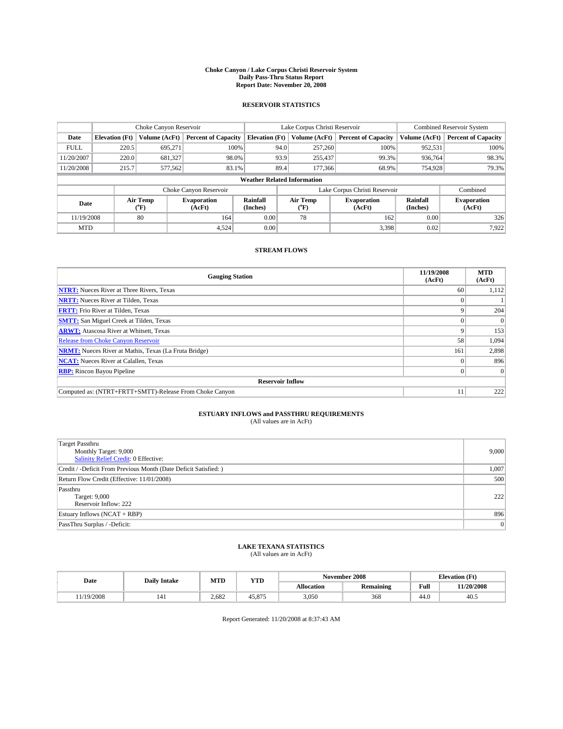#### **Choke Canyon / Lake Corpus Christi Reservoir System Daily Pass-Thru Status Report Report Date: November 20, 2008**

#### **RESERVOIR STATISTICS**

|             |                                    |                  | Lake Corpus Christi Reservoir |                       |                               |                  | <b>Combined Reservoir System</b> |                      |                              |  |
|-------------|------------------------------------|------------------|-------------------------------|-----------------------|-------------------------------|------------------|----------------------------------|----------------------|------------------------------|--|
| Date        | <b>Elevation</b> (Ft)              | Volume (AcFt)    | <b>Percent of Capacity</b>    | <b>Elevation</b> (Ft) |                               | Volume (AcFt)    | <b>Percent of Capacity</b>       | Volume (AcFt)        | <b>Percent of Capacity</b>   |  |
| <b>FULL</b> | 220.5                              | 695,271          |                               | 100%                  | 94.0                          | 257,260          | 100%                             | 952,531              | 100%                         |  |
| 11/20/2007  | 220.0                              | 681,327          | 98.0%                         |                       | 93.9                          | 255,437          | 99.3%                            | 936.764              | 98.3%                        |  |
| 11/20/2008  | 215.7                              | 577,562          | 83.1%                         |                       | 89.4                          | 177,366          | 68.9%                            | 754,928              | 79.3%                        |  |
|             | <b>Weather Related Information</b> |                  |                               |                       |                               |                  |                                  |                      |                              |  |
|             |                                    |                  | Choke Canyon Reservoir        |                       | Lake Corpus Christi Reservoir |                  |                                  |                      | Combined                     |  |
| Date        |                                    | Air Temp<br>(°F) | <b>Evaporation</b><br>(AcFt)  | Rainfall<br>(Inches)  |                               | Air Temp<br>("F) | <b>Evaporation</b><br>(AcFt)     | Rainfall<br>(Inches) | <b>Evaporation</b><br>(AcFt) |  |
| 11/19/2008  |                                    | 80               | 164                           | 0.00                  |                               | 78               | 162                              | 0.00                 | 326                          |  |
| <b>MTD</b>  |                                    |                  | 4,524                         | 0.00                  |                               |                  | 3,398                            | 0.02                 | 7,922                        |  |

### **STREAM FLOWS**

| <b>Gauging Station</b>                                       | 11/19/2008<br>(AcFt) | <b>MTD</b><br>(AcFt) |
|--------------------------------------------------------------|----------------------|----------------------|
| <b>NTRT:</b> Nueces River at Three Rivers, Texas             | 60                   | 1,112                |
| <b>NRTT:</b> Nueces River at Tilden, Texas                   |                      |                      |
| <b>FRTT:</b> Frio River at Tilden, Texas                     | Q                    | 204                  |
| <b>SMTT:</b> San Miguel Creek at Tilden, Texas               |                      |                      |
| <b>ARWT:</b> Atascosa River at Whitsett, Texas               | 9                    | 153                  |
| Release from Choke Canyon Reservoir                          | 58                   | 1,094                |
| <b>NRMT:</b> Nueces River at Mathis, Texas (La Fruta Bridge) | 161                  | 2,898                |
| <b>NCAT:</b> Nueces River at Calallen, Texas                 |                      | 896                  |
| <b>RBP:</b> Rincon Bayou Pipeline                            | $\overline{0}$       | $\Omega$             |
| <b>Reservoir Inflow</b>                                      |                      |                      |
| Computed as: (NTRT+FRTT+SMTT)-Release From Choke Canyon      | 11                   | 222                  |

## **ESTUARY INFLOWS and PASSTHRU REQUIREMENTS**<br>(All values are in AcFt)

| <b>Target Passthru</b><br>Monthly Target: 9,000<br><b>Salinity Relief Credit: 0 Effective:</b> | 9,000 |
|------------------------------------------------------------------------------------------------|-------|
| Credit / -Deficit From Previous Month (Date Deficit Satisfied: )                               | 1,007 |
| Return Flow Credit (Effective: 11/01/2008)                                                     | 500   |
| Passthru<br>Target: 9,000<br>Reservoir Inflow: 222                                             | 222   |
| Estuary Inflows (NCAT + RBP)                                                                   | 896   |
| PassThru Surplus / -Deficit:                                                                   | 0     |

## **LAKE TEXANA STATISTICS** (All values are in AcFt)

| Date      | <b>Daily Intake</b> | MTD   | YTD               |            | November 2008    | <b>Elevation</b> (Ft) |            |
|-----------|---------------------|-------|-------------------|------------|------------------|-----------------------|------------|
|           |                     |       |                   | Allocation | <b>Remaining</b> | Full                  | 11/20/2008 |
| 1/19/2008 |                     | 2.682 | 5075<br>. ، ه. د. | 3,050      | 368              | 44.0                  | 40.5       |

Report Generated: 11/20/2008 at 8:37:43 AM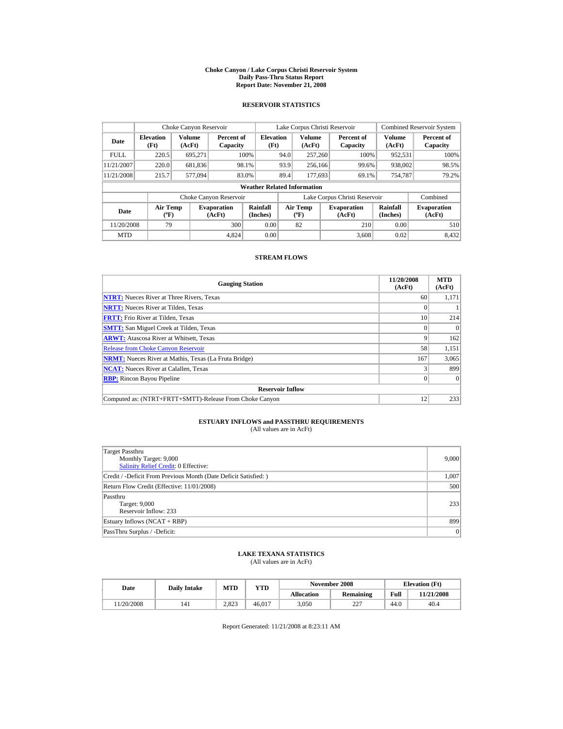#### **Choke Canyon / Lake Corpus Christi Reservoir System Daily Pass-Thru Status Report Report Date: November 21, 2008**

#### **RESERVOIR STATISTICS**

|             | Choke Canyon Reservoir                      |                         |                              |                          | Lake Corpus Christi Reservoir            |                         |  |                               |                             | <b>Combined Reservoir System</b> |  |
|-------------|---------------------------------------------|-------------------------|------------------------------|--------------------------|------------------------------------------|-------------------------|--|-------------------------------|-----------------------------|----------------------------------|--|
| Date        | <b>Elevation</b><br>(Ft)                    | <b>Volume</b><br>(AcFt) | Percent of<br>Capacity       | <b>Elevation</b><br>(Ft) |                                          | <b>Volume</b><br>(AcFt) |  | Percent of<br>Capacity        | Volume<br>(AcFt)            | Percent of<br>Capacity           |  |
| <b>FULL</b> | 220.5                                       | 695.271                 |                              | 100%                     | 94.0                                     | 257,260                 |  | 100%                          | 952,531                     | 100%                             |  |
| 11/21/2007  | 220.0                                       | 681,836                 |                              | 98.1%                    | 93.9                                     | 256,166                 |  | 99.6%                         | 938,002                     | 98.5%                            |  |
| 11/21/2008  | 215.7                                       | 577,094                 |                              | 83.0%                    | 89.4                                     | 177,693<br>69.1%        |  | 754,787                       | 79.2%                       |                                  |  |
|             | <b>Weather Related Information</b>          |                         |                              |                          |                                          |                         |  |                               |                             |                                  |  |
|             |                                             |                         | Choke Canyon Reservoir       |                          |                                          |                         |  | Lake Corpus Christi Reservoir |                             | Combined                         |  |
| Date        | <b>Air Temp</b><br>$({}^{\circ}\mathrm{F})$ |                         | <b>Evaporation</b><br>(AcFt) | Rainfall<br>(Inches)     | <b>Air Temp</b><br>$({}^{\circ}{\rm F})$ |                         |  | <b>Evaporation</b><br>(AcFt)  | <b>Rainfall</b><br>(Inches) | <b>Evaporation</b><br>(AcFt)     |  |
| 11/20/2008  | 79                                          |                         | 300                          | 0.00                     |                                          | 82                      |  | 210                           | 0.00                        | 510                              |  |
| <b>MTD</b>  |                                             |                         | 4.824                        | 0.00                     |                                          |                         |  | 3.608                         | 0.02                        | 8.432                            |  |

#### **STREAM FLOWS**

| <b>Gauging Station</b>                                       | 11/20/2008<br>(AcFt) | <b>MTD</b><br>(AcFt) |
|--------------------------------------------------------------|----------------------|----------------------|
| <b>NTRT:</b> Nueces River at Three Rivers, Texas             | 60                   | 1,171                |
| <b>NRTT:</b> Nueces River at Tilden, Texas                   |                      |                      |
| <b>FRTT:</b> Frio River at Tilden, Texas                     | 10                   | 214                  |
| <b>SMTT:</b> San Miguel Creek at Tilden, Texas               |                      | $\Omega$             |
| <b>ARWT:</b> Atascosa River at Whitsett, Texas               | Q                    | 162                  |
| <b>Release from Choke Canyon Reservoir</b>                   | 58                   | 1,151                |
| <b>NRMT:</b> Nueces River at Mathis, Texas (La Fruta Bridge) | 167                  | 3,065                |
| <b>NCAT:</b> Nueces River at Calallen, Texas                 |                      | 899                  |
| <b>RBP:</b> Rincon Bayou Pipeline                            | $\Omega$             | $\Omega$             |
| <b>Reservoir Inflow</b>                                      |                      |                      |
| Computed as: (NTRT+FRTT+SMTT)-Release From Choke Canyon      | 12                   | 233                  |

## **ESTUARY INFLOWS and PASSTHRU REQUIREMENTS**<br>(All values are in AcFt)

| Target Passthru<br>Monthly Target: 9,000<br><b>Salinity Relief Credit: 0 Effective:</b> | 9,000 |
|-----------------------------------------------------------------------------------------|-------|
| Credit / -Deficit From Previous Month (Date Deficit Satisfied: )                        | 1,007 |
| Return Flow Credit (Effective: 11/01/2008)                                              | 500   |
| Passthru<br>Target: 9,000<br>Reservoir Inflow: 233                                      | 233   |
| Estuary Inflows (NCAT + RBP)                                                            | 899   |
| PassThru Surplus / -Deficit:                                                            | 0     |

### **LAKE TEXANA STATISTICS**

(All values are in AcFt)

| Date      | <b>Daily Intake</b> | MTD   | <b>YTD</b> | November 2008     |                  | <b>Elevation</b> (Ft) |            |
|-----------|---------------------|-------|------------|-------------------|------------------|-----------------------|------------|
|           |                     |       |            | <b>Allocation</b> | <b>Remaining</b> | Full                  | 11/21/2008 |
| 1/20/2008 | 141                 | 2.823 | 46.017     | 3.050             | າາາ<br><u>__</u> | 44.0                  | 40.4       |

Report Generated: 11/21/2008 at 8:23:11 AM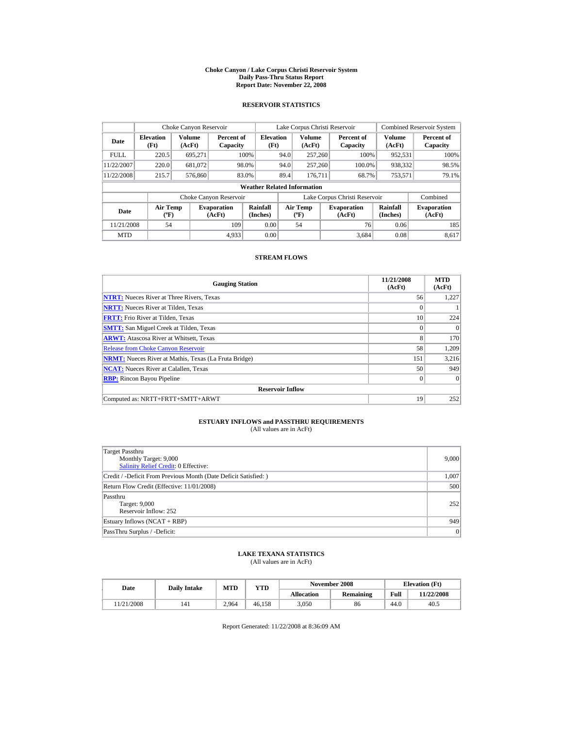#### **Choke Canyon / Lake Corpus Christi Reservoir System Daily Pass-Thru Status Report Report Date: November 22, 2008**

#### **RESERVOIR STATISTICS**

|             | Choke Canyon Reservoir                      |                         |                              |                          | Lake Corpus Christi Reservoir |                                          |  |                               |                      | <b>Combined Reservoir System</b> |  |  |
|-------------|---------------------------------------------|-------------------------|------------------------------|--------------------------|-------------------------------|------------------------------------------|--|-------------------------------|----------------------|----------------------------------|--|--|
| Date        | <b>Elevation</b><br>(Ft)                    | <b>Volume</b><br>(AcFt) | Percent of<br>Capacity       | <b>Elevation</b><br>(Ft) |                               | <b>Volume</b><br>(AcFt)                  |  | Percent of<br>Capacity        | Volume<br>(AcFt)     | Percent of<br>Capacity           |  |  |
| <b>FULL</b> | 220.5                                       | 695.271                 |                              | 100%                     | 94.0                          | 257,260                                  |  | 100%                          | 952,531              | 100%                             |  |  |
| 11/22/2007  | 220.0                                       | 681,072                 |                              | 98.0%                    | 94.0                          | 257,260                                  |  | 100.0%                        | 938,332              | 98.5%                            |  |  |
| 11/22/2008  | 215.7                                       | 576,860                 |                              | 83.0%                    | 89.4                          | 176,711                                  |  | 68.7%                         | 753,571              | 79.1%                            |  |  |
|             | <b>Weather Related Information</b>          |                         |                              |                          |                               |                                          |  |                               |                      |                                  |  |  |
|             |                                             |                         | Choke Canyon Reservoir       |                          |                               |                                          |  | Lake Corpus Christi Reservoir |                      | Combined                         |  |  |
| Date        | <b>Air Temp</b><br>$({}^{\circ}\mathrm{F})$ |                         | <b>Evaporation</b><br>(AcFt) | Rainfall<br>(Inches)     |                               | <b>Air Temp</b><br>$({}^{\circ}{\rm F})$ |  | <b>Evaporation</b><br>(AcFt)  | Rainfall<br>(Inches) | <b>Evaporation</b><br>(AcFt)     |  |  |
| 11/21/2008  | 54                                          |                         | 109                          | 0.00                     |                               | 54                                       |  | 76                            | 0.06                 | 185                              |  |  |
| <b>MTD</b>  |                                             |                         | 4.933                        | 0.00                     |                               |                                          |  | 3.684                         | 0.08                 | 8.617                            |  |  |

#### **STREAM FLOWS**

| <b>Gauging Station</b>                                       | 11/21/2008<br>(AcFt) | <b>MTD</b><br>(AcFt) |
|--------------------------------------------------------------|----------------------|----------------------|
| <b>NTRT:</b> Nueces River at Three Rivers, Texas             | 56                   | 1.227                |
| <b>NRTT:</b> Nueces River at Tilden, Texas                   | $\Omega$             |                      |
| <b>FRTT:</b> Frio River at Tilden, Texas                     | 10                   | 224                  |
| <b>SMTT:</b> San Miguel Creek at Tilden, Texas               | $\Omega$             | $\Omega$             |
| <b>ARWT:</b> Atascosa River at Whitsett, Texas               | 8                    | 170                  |
| <b>Release from Choke Canyon Reservoir</b>                   | 58                   | 1,209                |
| <b>NRMT:</b> Nueces River at Mathis, Texas (La Fruta Bridge) | 151                  | 3,216                |
| <b>NCAT:</b> Nueces River at Calallen, Texas                 | 50                   | 949                  |
| <b>RBP:</b> Rincon Bayou Pipeline                            | $\Omega$             | $\Omega$             |
| <b>Reservoir Inflow</b>                                      |                      |                      |
| Computed as: NRTT+FRTT+SMTT+ARWT                             | 19                   | 252                  |

# **ESTUARY INFLOWS and PASSTHRU REQUIREMENTS**<br>(All values are in AcFt)

| Target Passthru<br>Monthly Target: 9,000<br>Salinity Relief Credit: 0 Effective: | 9,000 |
|----------------------------------------------------------------------------------|-------|
|                                                                                  |       |
| Credit / -Deficit From Previous Month (Date Deficit Satisfied: )                 | 1,007 |
| Return Flow Credit (Effective: 11/01/2008)                                       | 500   |
| Passthru                                                                         |       |
| Target: 9,000                                                                    | 252   |
| Reservoir Inflow: 252                                                            |       |
| Estuary Inflows (NCAT + RBP)                                                     | 949   |
| PassThru Surplus / -Deficit:                                                     | 0     |

### **LAKE TEXANA STATISTICS**

(All values are in AcFt)

| Date       | <b>Daily Intake</b> | MTD   | <b>YTD</b> |                   | November 2008 | <b>Elevation</b> (Ft) |            |
|------------|---------------------|-------|------------|-------------------|---------------|-----------------------|------------|
|            |                     |       |            | <b>Allocation</b> | Remaining     | Full                  | 11/22/2008 |
| 11/21/2008 | 141                 | 2.964 | 46.158     | 3.050             | 86            | 44.0                  | 40.5       |

Report Generated: 11/22/2008 at 8:36:09 AM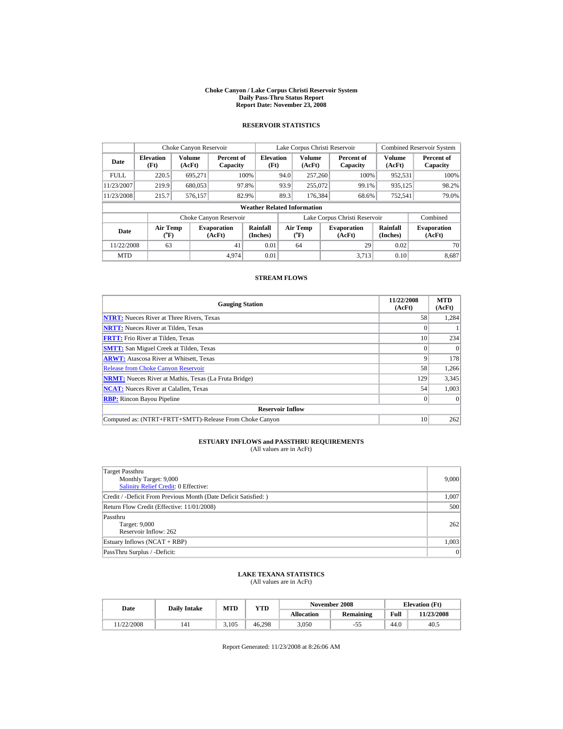#### **Choke Canyon / Lake Corpus Christi Reservoir System Daily Pass-Thru Status Report Report Date: November 23, 2008**

### **RESERVOIR STATISTICS**

|             | Choke Canyon Reservoir                      |                  |                              |                          | Lake Corpus Christi Reservoir        |                         |  |                               |                      | <b>Combined Reservoir System</b> |  |  |
|-------------|---------------------------------------------|------------------|------------------------------|--------------------------|--------------------------------------|-------------------------|--|-------------------------------|----------------------|----------------------------------|--|--|
| Date        | <b>Elevation</b><br>(Ft)                    | Volume<br>(AcFt) | Percent of<br>Capacity       | <b>Elevation</b><br>(Ft) |                                      | <b>Volume</b><br>(AcFt) |  | Percent of<br>Capacity        | Volume<br>(AcFt)     | Percent of<br>Capacity           |  |  |
| <b>FULL</b> | 220.5                                       | 695.271          |                              | 100%                     | 94.0                                 | 257,260                 |  | 100%                          | 952.531              | 100%                             |  |  |
| 11/23/2007  | 219.9                                       | 680,053          |                              | 97.8%                    | 93.9                                 | 255,072                 |  | 99.1%                         | 935.125              | 98.2%                            |  |  |
| 11/23/2008  | 215.7                                       | 576.157          |                              | 82.9%                    | 89.3                                 | 176.384                 |  | 68.6%                         | 752,541              | 79.0%                            |  |  |
|             | <b>Weather Related Information</b>          |                  |                              |                          |                                      |                         |  |                               |                      |                                  |  |  |
|             |                                             |                  | Choke Canyon Reservoir       |                          |                                      |                         |  | Lake Corpus Christi Reservoir |                      | Combined                         |  |  |
| Date        | <b>Air Temp</b><br>$({}^{\circ}\mathrm{F})$ |                  | <b>Evaporation</b><br>(AcFt) | Rainfall<br>(Inches)     | Air Temp<br>$({}^{\circ}\mathbf{F})$ |                         |  | <b>Evaporation</b><br>(AcFt)  | Rainfall<br>(Inches) | <b>Evaporation</b><br>(AcFt)     |  |  |
| 11/22/2008  | 63                                          |                  | 41                           | 0.01                     |                                      | 64                      |  | 29                            | 0.02                 | 70                               |  |  |
| <b>MTD</b>  |                                             |                  | 4.974                        | 0.01                     |                                      |                         |  | 3.713                         | 0.10                 | 8,687                            |  |  |

#### **STREAM FLOWS**

| <b>Gauging Station</b>                                       | 11/22/2008<br>(AcFt) | <b>MTD</b><br>(AcFt) |
|--------------------------------------------------------------|----------------------|----------------------|
| <b>NTRT:</b> Nueces River at Three Rivers, Texas             | 58                   | 1,284                |
| <b>NRTT:</b> Nueces River at Tilden, Texas                   | $\Omega$             |                      |
| <b>FRTT:</b> Frio River at Tilden, Texas                     | 10                   | 234                  |
| <b>SMTT:</b> San Miguel Creek at Tilden, Texas               | $\Omega$             | $\Omega$             |
| <b>ARWT:</b> Atascosa River at Whitsett, Texas               | 9                    | 178                  |
| <b>Release from Choke Canyon Reservoir</b>                   | 58                   | 1,266                |
| <b>NRMT:</b> Nueces River at Mathis, Texas (La Fruta Bridge) | 129                  | 3,345                |
| <b>NCAT:</b> Nueces River at Calallen, Texas                 | 54                   | 1,003                |
| <b>RBP:</b> Rincon Bayou Pipeline                            |                      | $\Omega$             |
| <b>Reservoir Inflow</b>                                      |                      |                      |
| Computed as: (NTRT+FRTT+SMTT)-Release From Choke Canyon      | 10                   | 262                  |

# **ESTUARY INFLOWS and PASSTHRU REQUIREMENTS**<br>(All values are in AcFt)

| Target Passthru                                                  |       |
|------------------------------------------------------------------|-------|
| Monthly Target: 9,000                                            | 9,000 |
| Salinity Relief Credit: 0 Effective:                             |       |
| Credit / -Deficit From Previous Month (Date Deficit Satisfied: ) | 1,007 |
| Return Flow Credit (Effective: 11/01/2008)                       | 500   |
| Passthru                                                         |       |
| Target: 9,000                                                    | 262   |
| Reservoir Inflow: 262                                            |       |
| Estuary Inflows (NCAT + RBP)                                     | 1,003 |
| PassThru Surplus / -Deficit:                                     | 0     |

### **LAKE TEXANA STATISTICS**

(All values are in AcFt)

| Date      | <b>Daily Intake</b> | MTD   | <b>YTD</b> |                   | November 2008 | <b>Elevation</b> (Ft) |            |
|-----------|---------------------|-------|------------|-------------------|---------------|-----------------------|------------|
|           |                     |       |            | <b>Allocation</b> | Remaining     | Full                  | 11/23/2008 |
| 1/22/2008 | 141                 | 3.105 | 46.298     | 3.050             | - Ju          | 44.0                  | 40.5       |

Report Generated: 11/23/2008 at 8:26:06 AM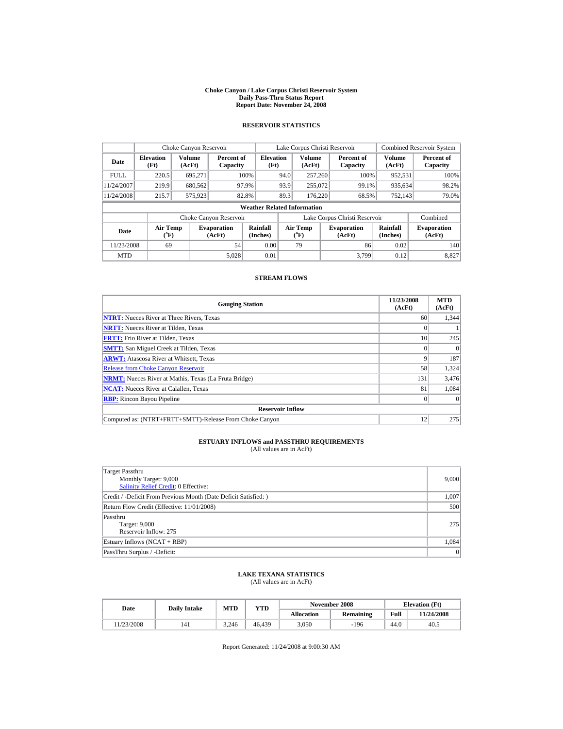#### **Choke Canyon / Lake Corpus Christi Reservoir System Daily Pass-Thru Status Report Report Date: November 24, 2008**

### **RESERVOIR STATISTICS**

|             | Choke Canyon Reservoir             |                  |                              |                          | Lake Corpus Christi Reservoir |                                             |  |                               |                      | <b>Combined Reservoir System</b> |  |  |
|-------------|------------------------------------|------------------|------------------------------|--------------------------|-------------------------------|---------------------------------------------|--|-------------------------------|----------------------|----------------------------------|--|--|
| Date        | <b>Elevation</b><br>(Ft)           | Volume<br>(AcFt) | Percent of<br>Capacity       | <b>Elevation</b><br>(Ft) |                               | <b>Volume</b><br>(AcFt)                     |  | Percent of<br>Capacity        | Volume<br>(AcFt)     | Percent of<br>Capacity           |  |  |
| <b>FULL</b> | 220.5                              | 695.271          |                              | 100%                     | 94.0                          | 257,260                                     |  | 100%                          | 952.531              | 100%                             |  |  |
| 11/24/2007  | 219.9                              | 680.562          |                              | 97.9%                    | 93.9                          | 255,072                                     |  | 99.1%                         | 935,634              | 98.2%                            |  |  |
| 11/24/2008  | 215.7                              | 575,923          |                              | 82.8%                    | 89.3                          | 176.220                                     |  | 68.5%                         | 752,143              | 79.0%                            |  |  |
|             | <b>Weather Related Information</b> |                  |                              |                          |                               |                                             |  |                               |                      |                                  |  |  |
|             |                                    |                  | Choke Canyon Reservoir       |                          |                               |                                             |  | Lake Corpus Christi Reservoir |                      | Combined                         |  |  |
| Date        | <b>Air Temp</b><br>$({}^{\circ}F)$ |                  | <b>Evaporation</b><br>(AcFt) | Rainfall<br>(Inches)     |                               | <b>Air Temp</b><br>$({}^{\circ}\mathbf{F})$ |  | <b>Evaporation</b><br>(AcFt)  | Rainfall<br>(Inches) | <b>Evaporation</b><br>(AcFt)     |  |  |
| 11/23/2008  | 69                                 |                  | 54                           | 0.00                     |                               | 79                                          |  | 86                            | 0.02                 | 140                              |  |  |
| <b>MTD</b>  |                                    |                  | 5,028                        | 0.01                     |                               |                                             |  | 3.799                         | 0.12                 | 8,827                            |  |  |

#### **STREAM FLOWS**

| <b>Gauging Station</b>                                       | 11/23/2008<br>(AcFt) | <b>MTD</b><br>(AcFt) |
|--------------------------------------------------------------|----------------------|----------------------|
| <b>NTRT:</b> Nueces River at Three Rivers, Texas             | 60                   | 1,344                |
| <b>NRTT:</b> Nueces River at Tilden, Texas                   | 0                    |                      |
| <b>FRTT:</b> Frio River at Tilden, Texas                     | 10                   | 245                  |
| <b>SMTT:</b> San Miguel Creek at Tilden, Texas               | $\Omega$             | $\Omega$             |
| <b>ARWT:</b> Atascosa River at Whitsett, Texas               | 9                    | 187                  |
| <b>Release from Choke Canyon Reservoir</b>                   | 58                   | 1,324                |
| <b>NRMT:</b> Nueces River at Mathis, Texas (La Fruta Bridge) | 131                  | 3,476                |
| <b>NCAT:</b> Nueces River at Calallen, Texas                 | 81                   | 1,084                |
| <b>RBP:</b> Rincon Bayou Pipeline                            |                      | $\Omega$             |
| <b>Reservoir Inflow</b>                                      |                      |                      |
| Computed as: (NTRT+FRTT+SMTT)-Release From Choke Canyon      | 12                   | 275                  |

# **ESTUARY INFLOWS and PASSTHRU REQUIREMENTS**<br>(All values are in AcFt)

| Target Passthru<br>Monthly Target: 9,000<br>Salinity Relief Credit: 0 Effective: | 9,000 |
|----------------------------------------------------------------------------------|-------|
| Credit / -Deficit From Previous Month (Date Deficit Satisfied: )                 | 1,007 |
| Return Flow Credit (Effective: 11/01/2008)                                       | 500   |
| Passthru<br>Target: 9,000<br>Reservoir Inflow: 275                               | 275   |
| Estuary Inflows (NCAT + RBP)                                                     | 1,084 |
| PassThru Surplus / -Deficit:                                                     | 0     |

### **LAKE TEXANA STATISTICS**

(All values are in AcFt)

| Date      | <b>Daily Intake</b> | MTD   | <b>YTD</b> |                   | November 2008 | <b>Elevation</b> (Ft) |            |
|-----------|---------------------|-------|------------|-------------------|---------------|-----------------------|------------|
|           |                     |       |            | <b>Allocation</b> | Remaining     | Full                  | 11/24/2008 |
| 1/23/2008 | 141                 | 3.246 | 46,439     | 3.050             | $-196$        | 44.0                  | 40.5       |

Report Generated: 11/24/2008 at 9:00:30 AM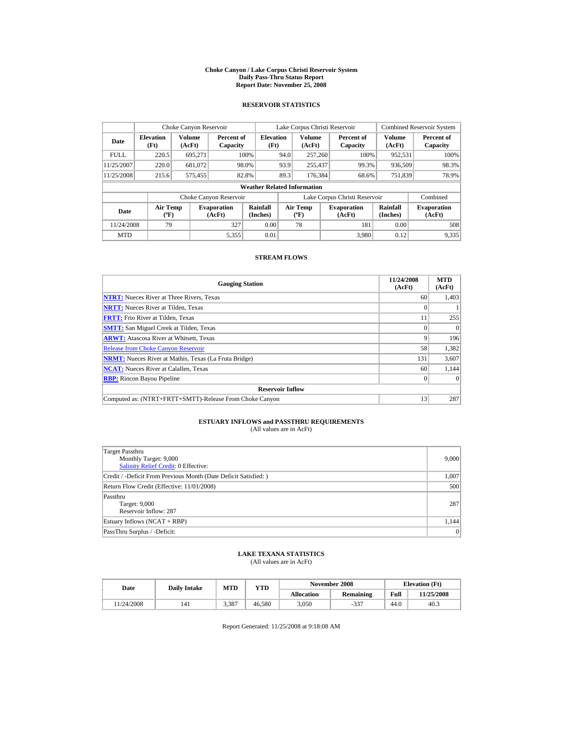#### **Choke Canyon / Lake Corpus Christi Reservoir System Daily Pass-Thru Status Report Report Date: November 25, 2008**

#### **RESERVOIR STATISTICS**

|             | Choke Canyon Reservoir             |                  |                              |                          | Lake Corpus Christi Reservoir |                                             |  |                               |                             | <b>Combined Reservoir System</b> |  |  |
|-------------|------------------------------------|------------------|------------------------------|--------------------------|-------------------------------|---------------------------------------------|--|-------------------------------|-----------------------------|----------------------------------|--|--|
| Date        | <b>Elevation</b><br>(Ft)           | Volume<br>(AcFt) | Percent of<br>Capacity       | <b>Elevation</b><br>(Ft) |                               | <b>Volume</b><br>(AcFt)                     |  | Percent of<br>Capacity        | Volume<br>(AcFt)            | Percent of<br>Capacity           |  |  |
| <b>FULL</b> | 220.5                              | 695.271          |                              | 100%                     | 94.0                          | 257,260                                     |  | 100%                          | 952,531                     | 100%                             |  |  |
| 11/25/2007  | 220.0                              | 681,072          |                              | 98.0%                    | 93.9                          | 255,437                                     |  | 99.3%                         | 936,509                     | 98.3%                            |  |  |
| 11/25/2008  | 215.6                              | 575,455          |                              | 82.8%                    | 89.3                          | 176.384                                     |  | 68.6%                         | 751,839                     | 78.9%                            |  |  |
|             | <b>Weather Related Information</b> |                  |                              |                          |                               |                                             |  |                               |                             |                                  |  |  |
|             |                                    |                  | Choke Canyon Reservoir       |                          |                               |                                             |  | Lake Corpus Christi Reservoir |                             | Combined                         |  |  |
| Date        | <b>Air Temp</b><br>$(^{\circ}F)$   |                  | <b>Evaporation</b><br>(AcFt) | Rainfall<br>(Inches)     |                               | <b>Air Temp</b><br>$({}^{\circ}\mathbf{F})$ |  | <b>Evaporation</b><br>(AcFt)  | <b>Rainfall</b><br>(Inches) | <b>Evaporation</b><br>(AcFt)     |  |  |
| 11/24/2008  | 79                                 |                  | 327                          | 0.00                     |                               | 78                                          |  | 181                           | 0.00                        | 508                              |  |  |
| <b>MTD</b>  |                                    |                  | 5.355                        | 0.01                     |                               |                                             |  | 3.980                         | 0.12                        | 9.335                            |  |  |

#### **STREAM FLOWS**

| <b>Gauging Station</b>                                       | 11/24/2008<br>(AcFt) | <b>MTD</b><br>(AcFt) |
|--------------------------------------------------------------|----------------------|----------------------|
| <b>NTRT:</b> Nueces River at Three Rivers, Texas             | 60                   | 1,403                |
| <b>NRTT:</b> Nueces River at Tilden, Texas                   |                      |                      |
| <b>FRTT:</b> Frio River at Tilden, Texas                     | 11                   | 255                  |
| <b>SMTT:</b> San Miguel Creek at Tilden, Texas               |                      | $\Omega$             |
| <b>ARWT:</b> Atascosa River at Whitsett, Texas               | Q                    | 196                  |
| <b>Release from Choke Canyon Reservoir</b>                   | 58                   | 1,382                |
| <b>NRMT:</b> Nueces River at Mathis, Texas (La Fruta Bridge) | 131                  | 3,607                |
| <b>NCAT:</b> Nueces River at Calallen, Texas                 | 60                   | 1,144                |
| <b>RBP:</b> Rincon Bayou Pipeline                            | $\overline{0}$       | $\Omega$             |
| <b>Reservoir Inflow</b>                                      |                      |                      |
| Computed as: (NTRT+FRTT+SMTT)-Release From Choke Canyon      | 13                   | 287                  |

## **ESTUARY INFLOWS and PASSTHRU REQUIREMENTS**<br>(All values are in AcFt)

| Target Passthru                                                  |       |
|------------------------------------------------------------------|-------|
| Monthly Target: 9,000                                            | 9,000 |
| <b>Salinity Relief Credit: 0 Effective:</b>                      |       |
| Credit / -Deficit From Previous Month (Date Deficit Satisfied: ) | 1,007 |
| Return Flow Credit (Effective: 11/01/2008)                       | 500   |
| Passthru                                                         |       |
| Target: 9,000                                                    | 287   |
| Reservoir Inflow: 287                                            |       |
| Estuary Inflows (NCAT + RBP)                                     | 1,144 |
| PassThru Surplus / -Deficit:                                     | 0     |

### **LAKE TEXANA STATISTICS**

(All values are in AcFt)

| Date      | <b>Daily Intake</b> | MTD   | <b>YTD</b> |                   | November 2008    | <b>Elevation</b> (Ft) |            |
|-----------|---------------------|-------|------------|-------------------|------------------|-----------------------|------------|
|           |                     |       |            | <b>Allocation</b> | <b>Remaining</b> | Full                  | 11/25/2008 |
| 1/24/2008 | 141                 | 3,387 | 46.580     | 3.050             | $-337$           | 44.0                  | 40.3       |

Report Generated: 11/25/2008 at 9:18:08 AM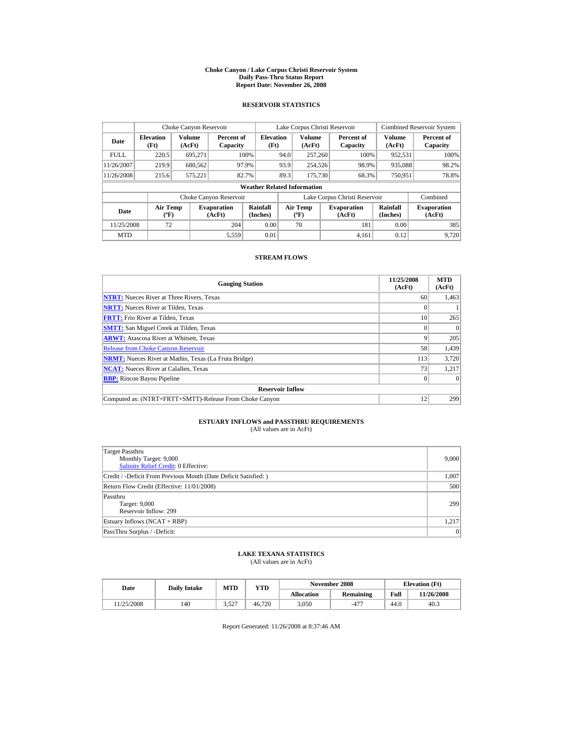#### **Choke Canyon / Lake Corpus Christi Reservoir System Daily Pass-Thru Status Report Report Date: November 26, 2008**

### **RESERVOIR STATISTICS**

|             | Choke Canyon Reservoir             |                  |                              |                          | Lake Corpus Christi Reservoir |                                             |  |                               |                             | <b>Combined Reservoir System</b> |  |  |
|-------------|------------------------------------|------------------|------------------------------|--------------------------|-------------------------------|---------------------------------------------|--|-------------------------------|-----------------------------|----------------------------------|--|--|
| Date        | <b>Elevation</b><br>(Ft)           | Volume<br>(AcFt) | Percent of<br>Capacity       | <b>Elevation</b><br>(Ft) |                               | Volume<br>(AcFt)                            |  | Percent of<br>Capacity        | Volume<br>(AcFt)            | Percent of<br>Capacity           |  |  |
| <b>FULL</b> | 220.5                              | 695.271          |                              | 100%                     | 94.0                          | 257,260                                     |  | 100%                          | 952,531                     | 100%                             |  |  |
| 11/26/2007  | 219.9                              | 680,562          |                              | 97.9%                    | 93.9                          | 254,526                                     |  | 98.9%                         | 935,088                     | 98.2%                            |  |  |
| 11/26/2008  | 215.6                              | 575.221          | 82.7%                        |                          | 89.3                          | 175,730                                     |  | 68.3%                         | 750,951                     | 78.8%                            |  |  |
|             | <b>Weather Related Information</b> |                  |                              |                          |                               |                                             |  |                               |                             |                                  |  |  |
|             |                                    |                  | Choke Canyon Reservoir       |                          |                               |                                             |  | Lake Corpus Christi Reservoir |                             | Combined                         |  |  |
| Date        | <b>Air Temp</b><br>$(^{\circ}F)$   |                  | <b>Evaporation</b><br>(AcFt) | Rainfall<br>(Inches)     |                               | <b>Air Temp</b><br>$({}^{\circ}\mathbf{F})$ |  | <b>Evaporation</b><br>(AcFt)  | <b>Rainfall</b><br>(Inches) | <b>Evaporation</b><br>(AcFt)     |  |  |
| 11/25/2008  | 72                                 |                  | 204                          | 0.00                     |                               | 70                                          |  | 181                           | 0.00                        | 385                              |  |  |
| <b>MTD</b>  |                                    |                  | 5.559                        | 0.01                     |                               |                                             |  | 4.161                         | 0.12                        | 9.720                            |  |  |

#### **STREAM FLOWS**

| <b>Gauging Station</b>                                       | 11/25/2008<br>(AcFt) | <b>MTD</b><br>(AcFt) |
|--------------------------------------------------------------|----------------------|----------------------|
| <b>NTRT:</b> Nueces River at Three Rivers, Texas             | 60                   | 1,463                |
| <b>NRTT:</b> Nueces River at Tilden, Texas                   |                      |                      |
| <b>FRTT:</b> Frio River at Tilden, Texas                     | 10                   | 265                  |
| <b>SMTT:</b> San Miguel Creek at Tilden, Texas               |                      | $\Omega$             |
| <b>ARWT:</b> Atascosa River at Whitsett, Texas               | Q                    | 205                  |
| <b>Release from Choke Canyon Reservoir</b>                   | 58                   | 1,439                |
| <b>NRMT:</b> Nueces River at Mathis, Texas (La Fruta Bridge) | 113                  | 3,720                |
| <b>NCAT:</b> Nueces River at Calallen, Texas                 | 73                   | 1,217                |
| <b>RBP:</b> Rincon Bayou Pipeline                            | $\overline{0}$       | $\Omega$             |
| <b>Reservoir Inflow</b>                                      |                      |                      |
| Computed as: (NTRT+FRTT+SMTT)-Release From Choke Canyon      | 12                   | 299                  |

## **ESTUARY INFLOWS and PASSTHRU REQUIREMENTS**<br>(All values are in AcFt)

| Target Passthru<br>Monthly Target: 9,000<br><b>Salinity Relief Credit: 0 Effective:</b> | 9,000 |
|-----------------------------------------------------------------------------------------|-------|
| Credit / -Deficit From Previous Month (Date Deficit Satisfied: )                        | 1,007 |
| Return Flow Credit (Effective: 11/01/2008)                                              | 500   |
| Passthru<br>Target: 9,000<br>Reservoir Inflow: 299                                      | 299   |
| Estuary Inflows (NCAT + RBP)                                                            | 1,217 |
| PassThru Surplus / -Deficit:                                                            | 0     |

### **LAKE TEXANA STATISTICS**

(All values are in AcFt)

| Date      | <b>Daily Intake</b> | MTD   | <b>YTD</b> |                   | November 2008 | <b>Elevation</b> (Ft) |            |
|-----------|---------------------|-------|------------|-------------------|---------------|-----------------------|------------|
|           |                     |       |            | <b>Allocation</b> | Remaining     | Full                  | 11/26/2008 |
| 1/25/2008 | 140                 | 3,527 | 46.720     | 3.050             | $-477$        | 44.0                  | 40.3       |

Report Generated: 11/26/2008 at 8:37:46 AM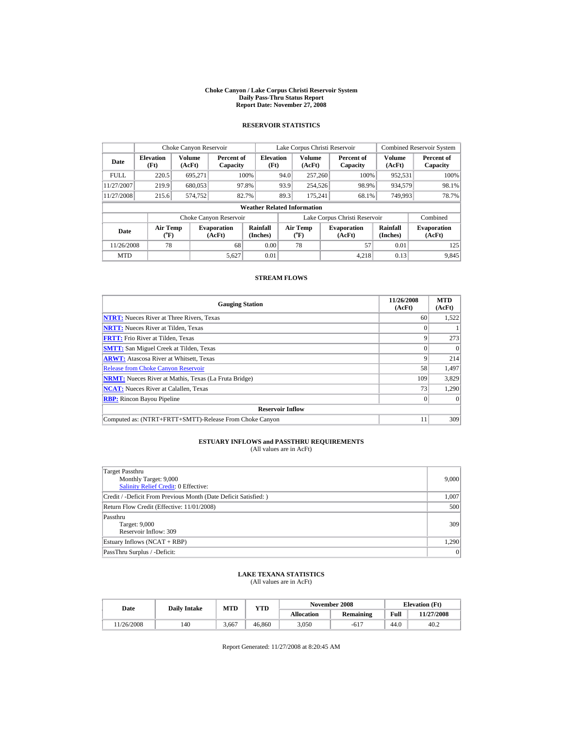#### **Choke Canyon / Lake Corpus Christi Reservoir System Daily Pass-Thru Status Report Report Date: November 27, 2008**

### **RESERVOIR STATISTICS**

|             | Choke Canyon Reservoir             |                  |                              |                          | Lake Corpus Christi Reservoir |                                             |  |                               | <b>Combined Reservoir System</b> |                              |  |  |
|-------------|------------------------------------|------------------|------------------------------|--------------------------|-------------------------------|---------------------------------------------|--|-------------------------------|----------------------------------|------------------------------|--|--|
| Date        | <b>Elevation</b><br>(Ft)           | Volume<br>(AcFt) | Percent of<br>Capacity       | <b>Elevation</b><br>(Ft) |                               | <b>Volume</b><br>(AcFt)                     |  | Percent of<br>Capacity        | Volume<br>(AcFt)                 | Percent of<br>Capacity       |  |  |
| <b>FULL</b> | 220.5                              | 695.271          |                              | 100%                     | 94.0                          | 257,260                                     |  | 100%                          | 952.531                          | 100%                         |  |  |
| 11/27/2007  | 219.9                              | 680,053          |                              | 97.8%                    | 93.9                          | 254,526                                     |  | 98.9%                         | 934.579                          | 98.1%                        |  |  |
| 11/27/2008  | 215.6                              | 574,752          |                              | 82.7%                    | 89.3                          | 175.241                                     |  | 68.1%                         | 749,993                          | 78.7%                        |  |  |
|             | <b>Weather Related Information</b> |                  |                              |                          |                               |                                             |  |                               |                                  |                              |  |  |
|             |                                    |                  | Choke Canyon Reservoir       |                          |                               |                                             |  | Lake Corpus Christi Reservoir |                                  | Combined                     |  |  |
| Date        | <b>Air Temp</b><br>$({}^{\circ}F)$ |                  | <b>Evaporation</b><br>(AcFt) | Rainfall<br>(Inches)     |                               | <b>Air Temp</b><br>$({}^{\circ}\mathbf{F})$ |  | <b>Evaporation</b><br>(AcFt)  | Rainfall<br>(Inches)             | <b>Evaporation</b><br>(AcFt) |  |  |
| 11/26/2008  | 78                                 |                  | 68                           | 0.00                     |                               | 78                                          |  | 57                            | 0.01                             | 125                          |  |  |
| <b>MTD</b>  |                                    |                  | 5,627                        | 0.01                     |                               |                                             |  | 4,218                         | 0.13                             | 9,845                        |  |  |

#### **STREAM FLOWS**

| <b>Gauging Station</b>                                       | 11/26/2008<br>(AcFt) | <b>MTD</b><br>(AcFt) |
|--------------------------------------------------------------|----------------------|----------------------|
| <b>NTRT:</b> Nueces River at Three Rivers, Texas             | 60                   | 1,522                |
| <b>NRTT:</b> Nueces River at Tilden, Texas                   | $\theta$             |                      |
| <b>FRTT:</b> Frio River at Tilden, Texas                     | 9                    | 273                  |
| <b>SMTT:</b> San Miguel Creek at Tilden, Texas               | $\Omega$             | $\theta$             |
| <b>ARWT:</b> Atascosa River at Whitsett, Texas               | 9                    | 214                  |
| <b>Release from Choke Canyon Reservoir</b>                   | 58                   | 1,497                |
| <b>NRMT:</b> Nueces River at Mathis, Texas (La Fruta Bridge) | 109                  | 3,829                |
| <b>NCAT:</b> Nueces River at Calallen, Texas                 | 73                   | 1,290                |
| <b>RBP:</b> Rincon Bayou Pipeline                            |                      | $\theta$             |
| <b>Reservoir Inflow</b>                                      |                      |                      |
| Computed as: (NTRT+FRTT+SMTT)-Release From Choke Canyon      |                      | 309                  |

# **ESTUARY INFLOWS and PASSTHRU REQUIREMENTS**<br>(All values are in AcFt)

| Target Passthru<br>Monthly Target: 9,000<br>Salinity Relief Credit: 0 Effective: | 9,000 |
|----------------------------------------------------------------------------------|-------|
| Credit / -Deficit From Previous Month (Date Deficit Satisfied: )                 | 1,007 |
| Return Flow Credit (Effective: 11/01/2008)                                       | 500   |
| Passthru<br>Target: 9,000<br>Reservoir Inflow: 309                               | 309   |
| Estuary Inflows (NCAT + RBP)                                                     | 1,290 |
| PassThru Surplus / -Deficit:                                                     | 0     |

### **LAKE TEXANA STATISTICS**

(All values are in AcFt)

| Date      | <b>Daily Intake</b> | MTD   | <b>YTD</b> |                   | November 2008 | <b>Elevation</b> (Ft) |            |
|-----------|---------------------|-------|------------|-------------------|---------------|-----------------------|------------|
|           |                     |       |            | <b>Allocation</b> | Remaining     | Full                  | 11/27/2008 |
| 1/26/2008 | 140                 | 3.667 | 46.860     | 3.050             | $-617$        | 44.0                  | 40.2       |

Report Generated: 11/27/2008 at 8:20:45 AM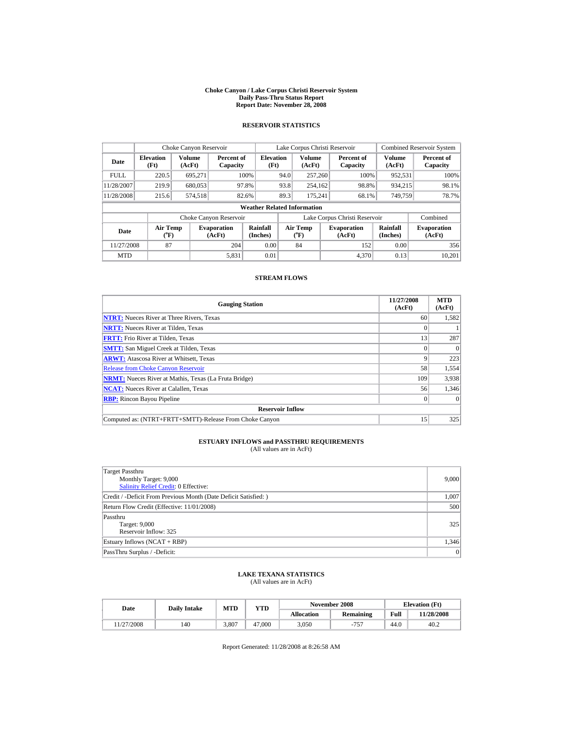#### **Choke Canyon / Lake Corpus Christi Reservoir System Daily Pass-Thru Status Report Report Date: November 28, 2008**

### **RESERVOIR STATISTICS**

|             | Choke Canyon Reservoir                      |                         |                              |                          | Lake Corpus Christi Reservoir |                                    |  |                               |                             | <b>Combined Reservoir System</b> |  |  |
|-------------|---------------------------------------------|-------------------------|------------------------------|--------------------------|-------------------------------|------------------------------------|--|-------------------------------|-----------------------------|----------------------------------|--|--|
| Date        | <b>Elevation</b><br>(Ft)                    | <b>Volume</b><br>(AcFt) | Percent of<br>Capacity       | <b>Elevation</b><br>(Ft) |                               | <b>Volume</b><br>(AcFt)            |  | Percent of<br>Capacity        | <b>Volume</b><br>(AcFt)     | Percent of<br>Capacity           |  |  |
| <b>FULL</b> | 220.5                                       | 695.271                 |                              | 100%                     | 94.0                          | 257,260                            |  | 100%                          | 952,531                     | 100%                             |  |  |
| 11/28/2007  | 219.9                                       | 680,053                 |                              | 97.8%                    | 93.8                          | 254.162                            |  | 98.8%                         | 934.215                     | 98.1%                            |  |  |
| 11/28/2008  | 215.6                                       | 574,518                 |                              | 82.6%                    | 89.3                          | 175.241                            |  | 68.1%                         | 749,759                     | 78.7%                            |  |  |
|             | <b>Weather Related Information</b>          |                         |                              |                          |                               |                                    |  |                               |                             |                                  |  |  |
|             |                                             |                         | Choke Canyon Reservoir       |                          |                               |                                    |  | Lake Corpus Christi Reservoir |                             | Combined                         |  |  |
| Date        | <b>Air Temp</b><br>$({}^{\circ}\mathrm{F})$ |                         | <b>Evaporation</b><br>(AcFt) | Rainfall<br>(Inches)     |                               | Air Temp<br>$(^{\circ}\mathrm{F})$ |  | <b>Evaporation</b><br>(AcFt)  | <b>Rainfall</b><br>(Inches) | <b>Evaporation</b><br>(AcFt)     |  |  |
| 11/27/2008  | 87                                          |                         | 204                          | 0.00                     |                               | 84                                 |  | 152                           | 0.00                        | 356                              |  |  |
| <b>MTD</b>  |                                             |                         | 5,831                        | 0.01                     |                               |                                    |  | 4,370                         | 0.13                        | 10,201                           |  |  |

#### **STREAM FLOWS**

| <b>Gauging Station</b>                                       | 11/27/2008<br>(AcFt) | <b>MTD</b><br>(AcFt) |
|--------------------------------------------------------------|----------------------|----------------------|
| <b>NTRT:</b> Nueces River at Three Rivers, Texas             | 60                   | 1,582                |
| <b>NRTT:</b> Nueces River at Tilden, Texas                   | 0                    |                      |
| <b>FRTT:</b> Frio River at Tilden, Texas                     | 13                   | 287                  |
| <b>SMTT:</b> San Miguel Creek at Tilden, Texas               | $\Omega$             | $\Omega$             |
| <b>ARWT:</b> Atascosa River at Whitsett, Texas               | 9                    | 223                  |
| <b>Release from Choke Canyon Reservoir</b>                   | 58                   | 1,554                |
| <b>NRMT:</b> Nueces River at Mathis, Texas (La Fruta Bridge) | 109                  | 3,938                |
| <b>NCAT:</b> Nueces River at Calallen, Texas                 | 56                   | 1,346                |
| <b>RBP:</b> Rincon Bayou Pipeline                            |                      | $\Omega$             |
| <b>Reservoir Inflow</b>                                      |                      |                      |
| Computed as: (NTRT+FRTT+SMTT)-Release From Choke Canyon      | 15                   | 325                  |

# **ESTUARY INFLOWS and PASSTHRU REQUIREMENTS**<br>(All values are in AcFt)

| Target Passthru<br>Monthly Target: 9,000<br>Salinity Relief Credit: 0 Effective: | 9,000 |
|----------------------------------------------------------------------------------|-------|
| Credit / -Deficit From Previous Month (Date Deficit Satisfied:)                  | 1,007 |
| Return Flow Credit (Effective: 11/01/2008)                                       | 500   |
| Passthru<br>Target: 9,000<br>Reservoir Inflow: 325                               | 325   |
| Estuary Inflows (NCAT + RBP)                                                     | 1,346 |
| PassThru Surplus / -Deficit:                                                     | 0     |

### **LAKE TEXANA STATISTICS**

(All values are in AcFt)

| Date      | <b>Daily Intake</b> | MTD   | <b>YTD</b> |                   | November 2008 | <b>Elevation</b> (Ft) |            |
|-----------|---------------------|-------|------------|-------------------|---------------|-----------------------|------------|
|           |                     |       |            | <b>Allocation</b> | Remaining     | Full                  | 11/28/2008 |
| 1/27/2008 | 140                 | 3.807 | 47,000     | 3.050             | 757<br>-15.   | 44.0                  | 40.2       |

Report Generated: 11/28/2008 at 8:26:58 AM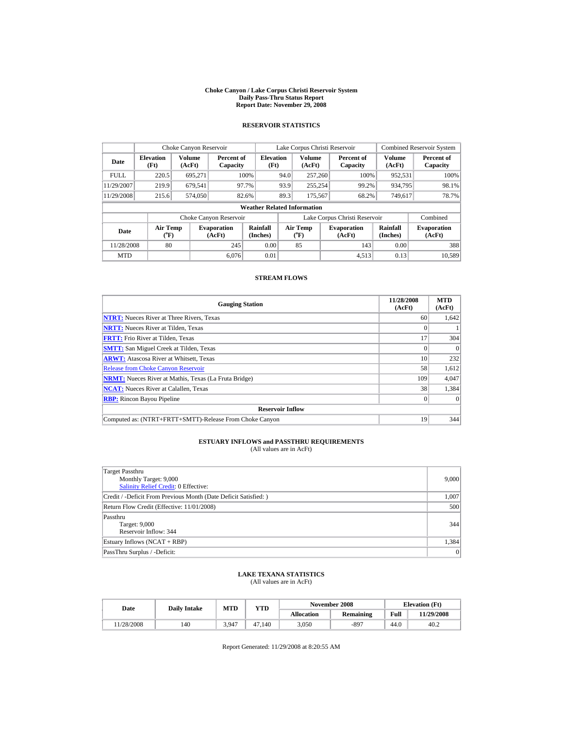#### **Choke Canyon / Lake Corpus Christi Reservoir System Daily Pass-Thru Status Report Report Date: November 29, 2008**

### **RESERVOIR STATISTICS**

|             | Choke Canyon Reservoir                      |                  |                              |                          | Lake Corpus Christi Reservoir |                                      |  |                               |                      | <b>Combined Reservoir System</b> |  |  |
|-------------|---------------------------------------------|------------------|------------------------------|--------------------------|-------------------------------|--------------------------------------|--|-------------------------------|----------------------|----------------------------------|--|--|
| Date        | <b>Elevation</b><br>(Ft)                    | Volume<br>(AcFt) | Percent of<br>Capacity       | <b>Elevation</b><br>(Ft) |                               | <b>Volume</b><br>(AcFt)              |  | Percent of<br>Capacity        | Volume<br>(AcFt)     | Percent of<br>Capacity           |  |  |
| <b>FULL</b> | 220.5                                       | 695.271          |                              | 100%                     | 94.0                          | 257,260                              |  | 100%                          | 952,531              | 100%                             |  |  |
| 11/29/2007  | 219.9                                       | 679.541          |                              | 97.7%                    | 93.9                          | 255.254                              |  | 99.2%                         | 934,795              | 98.1%                            |  |  |
| 11/29/2008  | 215.6                                       | 574,050          |                              | 82.6%                    | 89.3                          | 175.567                              |  | 68.2%                         | 749.617              | 78.7%                            |  |  |
|             | <b>Weather Related Information</b>          |                  |                              |                          |                               |                                      |  |                               |                      |                                  |  |  |
|             |                                             |                  | Choke Canyon Reservoir       |                          |                               |                                      |  | Lake Corpus Christi Reservoir |                      | Combined                         |  |  |
| Date        | <b>Air Temp</b><br>$({}^{\circ}\mathrm{F})$ |                  | <b>Evaporation</b><br>(AcFt) | Rainfall<br>(Inches)     |                               | Air Temp<br>$({}^{\circ}\mathbf{F})$ |  | <b>Evaporation</b><br>(AcFt)  | Rainfall<br>(Inches) | <b>Evaporation</b><br>(AcFt)     |  |  |
| 11/28/2008  | 80                                          |                  | 245                          | 0.00                     |                               | 85                                   |  | 143                           | 0.00                 | 388                              |  |  |
| <b>MTD</b>  |                                             |                  | 6.076                        | 0.01                     |                               |                                      |  | 4.513                         | 0.13                 | 10.589                           |  |  |

#### **STREAM FLOWS**

| <b>Gauging Station</b>                                       | 11/28/2008<br>(AcFt) | <b>MTD</b><br>(AcFt) |
|--------------------------------------------------------------|----------------------|----------------------|
| <b>NTRT:</b> Nueces River at Three Rivers, Texas             | 60                   | 1,642                |
| <b>NRTT:</b> Nueces River at Tilden, Texas                   | $\theta$             |                      |
| <b>FRTT:</b> Frio River at Tilden, Texas                     | 17                   | 304                  |
| <b>SMTT:</b> San Miguel Creek at Tilden, Texas               | $\Omega$             | $\Omega$             |
| <b>ARWT:</b> Atascosa River at Whitsett, Texas               | 10                   | 232                  |
| <b>Release from Choke Canyon Reservoir</b>                   | 58                   | 1,612                |
| <b>NRMT:</b> Nueces River at Mathis, Texas (La Fruta Bridge) | 109                  | 4,047                |
| <b>NCAT:</b> Nueces River at Calallen, Texas                 | 38                   | 1,384                |
| <b>RBP:</b> Rincon Bayou Pipeline                            |                      | $\Omega$             |
| <b>Reservoir Inflow</b>                                      |                      |                      |
| Computed as: (NTRT+FRTT+SMTT)-Release From Choke Canyon      | 19                   | 344                  |

# **ESTUARY INFLOWS and PASSTHRU REQUIREMENTS**<br>(All values are in AcFt)

| Target Passthru<br>Monthly Target: 9,000                         | 9,000 |
|------------------------------------------------------------------|-------|
| Salinity Relief Credit: 0 Effective:                             |       |
| Credit / -Deficit From Previous Month (Date Deficit Satisfied: ) | 1,007 |
| Return Flow Credit (Effective: 11/01/2008)                       | 500   |
| Passthru                                                         |       |
| Target: 9,000                                                    | 344   |
| Reservoir Inflow: 344                                            |       |
| Estuary Inflows (NCAT + RBP)                                     | 1,384 |
| PassThru Surplus / -Deficit:                                     | 0     |

### **LAKE TEXANA STATISTICS**

(All values are in AcFt)

| Date      | <b>Daily Intake</b> | MTD   | VTD    |                   | November 2008    | <b>Elevation</b> (Ft) |            |
|-----------|---------------------|-------|--------|-------------------|------------------|-----------------------|------------|
|           |                     |       |        | <b>Allocation</b> | <b>Remaining</b> | Full                  | 11/29/2008 |
| 1/28/2008 | 140                 | 3.947 | 47.140 | 3.050             | -897             | 44.0                  | 40.2       |

Report Generated: 11/29/2008 at 8:20:55 AM